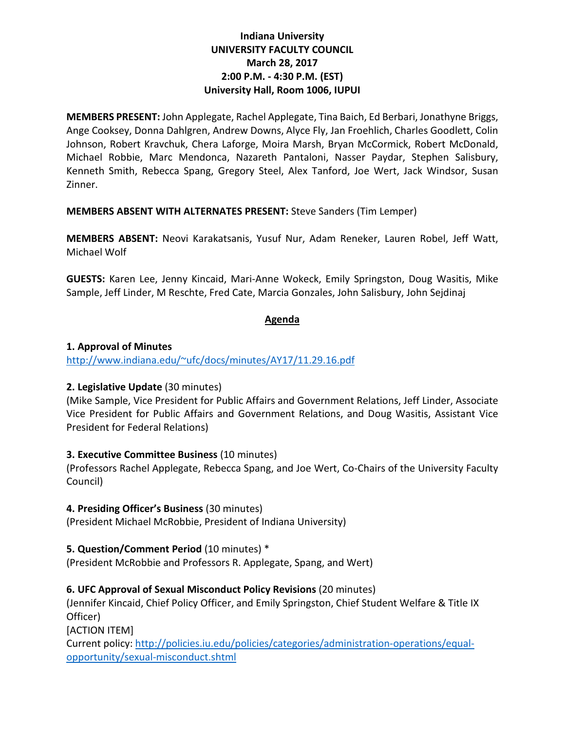## **Indiana University UNIVERSITY FACULTY COUNCIL March 28, 2017 2:00 P.M. - 4:30 P.M. (EST) University Hall, Room 1006, IUPUI**

**MEMBERS PRESENT:** John Applegate, Rachel Applegate, Tina Baich, Ed Berbari, Jonathyne Briggs, Ange Cooksey, Donna Dahlgren, Andrew Downs, Alyce Fly, Jan Froehlich, Charles Goodlett, Colin Johnson, Robert Kravchuk, Chera Laforge, Moira Marsh, Bryan McCormick, Robert McDonald, Michael Robbie, Marc Mendonca, Nazareth Pantaloni, Nasser Paydar, Stephen Salisbury, Kenneth Smith, Rebecca Spang, Gregory Steel, Alex Tanford, Joe Wert, Jack Windsor, Susan Zinner.

**MEMBERS ABSENT WITH ALTERNATES PRESENT:** Steve Sanders (Tim Lemper)

**MEMBERS ABSENT:** Neovi Karakatsanis, Yusuf Nur, Adam Reneker, Lauren Robel, Jeff Watt, Michael Wolf

**GUESTS:** Karen Lee, Jenny Kincaid, Mari-Anne Wokeck, Emily Springston, Doug Wasitis, Mike Sample, Jeff Linder, M Reschte, Fred Cate, Marcia Gonzales, John Salisbury, John Sejdinaj

## **Agenda**

## **1. Approval of Minutes**

[http://www.indiana.edu/~ufc/docs/minutes/AY17/11.29.16.pdf](http://www.indiana.edu/%7Eufc/docs/minutes/AY17/11.29.16.pdf) 

## **2. Legislative Update** (30 minutes)

(Mike Sample, Vice President for Public Affairs and Government Relations, Jeff Linder, Associate Vice President for Public Affairs and Government Relations, and Doug Wasitis, Assistant Vice President for Federal Relations)

### **3. Executive Committee Business** (10 minutes)

(Professors Rachel Applegate, Rebecca Spang, and Joe Wert, Co-Chairs of the University Faculty Council)

### **4. Presiding Officer's Business** (30 minutes)

(President Michael McRobbie, President of Indiana University)

### **5. Question/Comment Period** (10 minutes) \*

(President McRobbie and Professors R. Applegate, Spang, and Wert)

## **6. UFC Approval of Sexual Misconduct Policy Revisions** (20 minutes)

(Jennifer Kincaid, Chief Policy Officer, and Emily Springston, Chief Student Welfare & Title IX Officer)

[ACTION ITEM]

Current policy: [http://policies.iu.edu/policies/categories/administration-operations/equal](http://policies.iu.edu/policies/categories/administration-operations/equal-opportunity/sexual-misconduct.shtml)[opportunity/sexual-misconduct.shtml](http://policies.iu.edu/policies/categories/administration-operations/equal-opportunity/sexual-misconduct.shtml)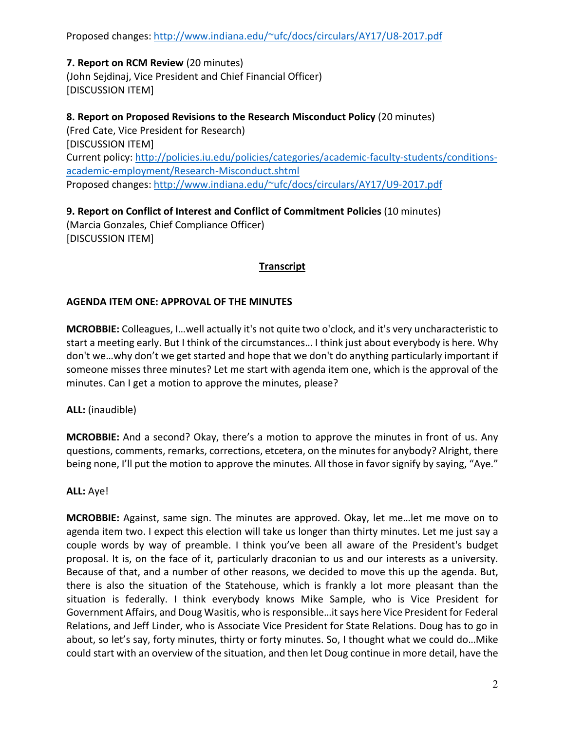Proposed changes[: http://www.indiana.edu/~ufc/docs/circulars/AY17/U8-2017.pdf](http://www.indiana.edu/%7Eufc/docs/circulars/AY17/U8-2017.pdf)

# **7. Report on RCM Review** (20 minutes)

(John Sejdinaj, Vice President and Chief Financial Officer) [DISCUSSION ITEM]

**8. Report on Proposed Revisions to the Research Misconduct Policy** (20 minutes) (Fred Cate, Vice President for Research) [DISCUSSION ITEM] Current policy: [http://policies.iu.edu/policies/categories/academic-faculty-students/conditions](http://policies.iu.edu/policies/categories/academic-faculty-students/conditions-academic-employment/Research-Misconduct.shtml)[academic-employment/Research-Misconduct.shtml](http://policies.iu.edu/policies/categories/academic-faculty-students/conditions-academic-employment/Research-Misconduct.shtml)  Proposed changes[: http://www.indiana.edu/~ufc/docs/circulars/AY17/U9-2017.pdf](http://www.indiana.edu/%7Eufc/docs/circulars/AY17/U9-2017.pdf)

**9. Report on Conflict of Interest and Conflict of Commitment Policies** (10 minutes) (Marcia Gonzales, Chief Compliance Officer) [DISCUSSION ITEM]

## **Transcript**

## **AGENDA ITEM ONE: APPROVAL OF THE MINUTES**

**MCROBBIE:** Colleagues, I…well actually it's not quite two o'clock, and it's very uncharacteristic to start a meeting early. But I think of the circumstances… I think just about everybody is here. Why don't we…why don't we get started and hope that we don't do anything particularly important if someone misses three minutes? Let me start with agenda item one, which is the approval of the minutes. Can I get a motion to approve the minutes, please?

**ALL:** (inaudible)

**MCROBBIE:** And a second? Okay, there's a motion to approve the minutes in front of us. Any questions, comments, remarks, corrections, etcetera, on the minutes for anybody? Alright, there being none, I'll put the motion to approve the minutes. All those in favor signify by saying, "Aye."

### **ALL:** Aye!

**MCROBBIE:** Against, same sign. The minutes are approved. Okay, let me…let me move on to agenda item two. I expect this election will take us longer than thirty minutes. Let me just say a couple words by way of preamble. I think you've been all aware of the President's budget proposal. It is, on the face of it, particularly draconian to us and our interests as a university. Because of that, and a number of other reasons, we decided to move this up the agenda. But, there is also the situation of the Statehouse, which is frankly a lot more pleasant than the situation is federally. I think everybody knows Mike Sample, who is Vice President for Government Affairs, and Doug Wasitis, who is responsible…it says here Vice President for Federal Relations, and Jeff Linder, who is Associate Vice President for State Relations. Doug has to go in about, so let's say, forty minutes, thirty or forty minutes. So, I thought what we could do…Mike could start with an overview of the situation, and then let Doug continue in more detail, have the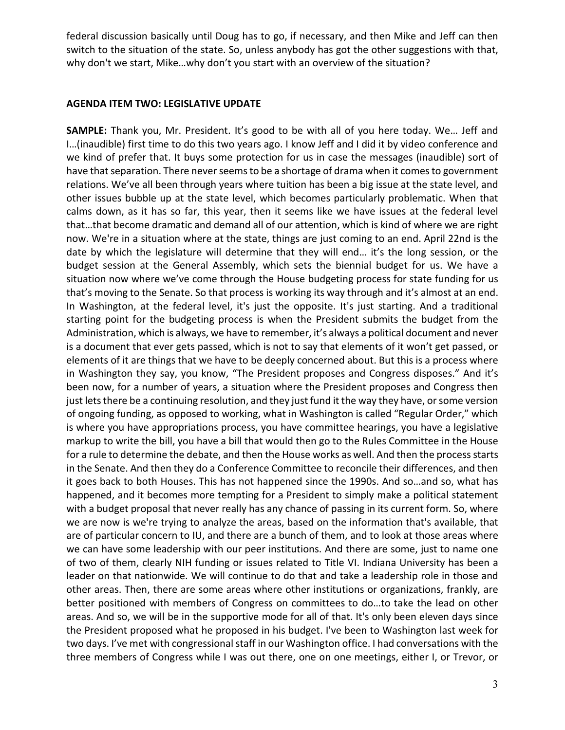federal discussion basically until Doug has to go, if necessary, and then Mike and Jeff can then switch to the situation of the state. So, unless anybody has got the other suggestions with that, why don't we start, Mike…why don't you start with an overview of the situation?

### **AGENDA ITEM TWO: LEGISLATIVE UPDATE**

**SAMPLE:** Thank you, Mr. President. It's good to be with all of you here today. We… Jeff and I…(inaudible) first time to do this two years ago. I know Jeff and I did it by video conference and we kind of prefer that. It buys some protection for us in case the messages (inaudible) sort of have that separation. There never seems to be a shortage of drama when it comes to government relations. We've all been through years where tuition has been a big issue at the state level, and other issues bubble up at the state level, which becomes particularly problematic. When that calms down, as it has so far, this year, then it seems like we have issues at the federal level that…that become dramatic and demand all of our attention, which is kind of where we are right now. We're in a situation where at the state, things are just coming to an end. April 22nd is the date by which the legislature will determine that they will end… it's the long session, or the budget session at the General Assembly, which sets the biennial budget for us. We have a situation now where we've come through the House budgeting process for state funding for us that's moving to the Senate. So that process is working its way through and it's almost at an end. In Washington, at the federal level, it's just the opposite. It's just starting. And a traditional starting point for the budgeting process is when the President submits the budget from the Administration, which is always, we have to remember, it's always a political document and never is a document that ever gets passed, which is not to say that elements of it won't get passed, or elements of it are things that we have to be deeply concerned about. But this is a process where in Washington they say, you know, "The President proposes and Congress disposes." And it's been now, for a number of years, a situation where the President proposes and Congress then just lets there be a continuing resolution, and they just fund it the way they have, or some version of ongoing funding, as opposed to working, what in Washington is called "Regular Order," which is where you have appropriations process, you have committee hearings, you have a legislative markup to write the bill, you have a bill that would then go to the Rules Committee in the House for a rule to determine the debate, and then the House works as well. And then the process starts in the Senate. And then they do a Conference Committee to reconcile their differences, and then it goes back to both Houses. This has not happened since the 1990s. And so…and so, what has happened, and it becomes more tempting for a President to simply make a political statement with a budget proposal that never really has any chance of passing in its current form. So, where we are now is we're trying to analyze the areas, based on the information that's available, that are of particular concern to IU, and there are a bunch of them, and to look at those areas where we can have some leadership with our peer institutions. And there are some, just to name one of two of them, clearly NIH funding or issues related to Title VI. Indiana University has been a leader on that nationwide. We will continue to do that and take a leadership role in those and other areas. Then, there are some areas where other institutions or organizations, frankly, are better positioned with members of Congress on committees to do…to take the lead on other areas. And so, we will be in the supportive mode for all of that. It's only been eleven days since the President proposed what he proposed in his budget. I've been to Washington last week for two days. I've met with congressional staff in our Washington office. I had conversations with the three members of Congress while I was out there, one on one meetings, either I, or Trevor, or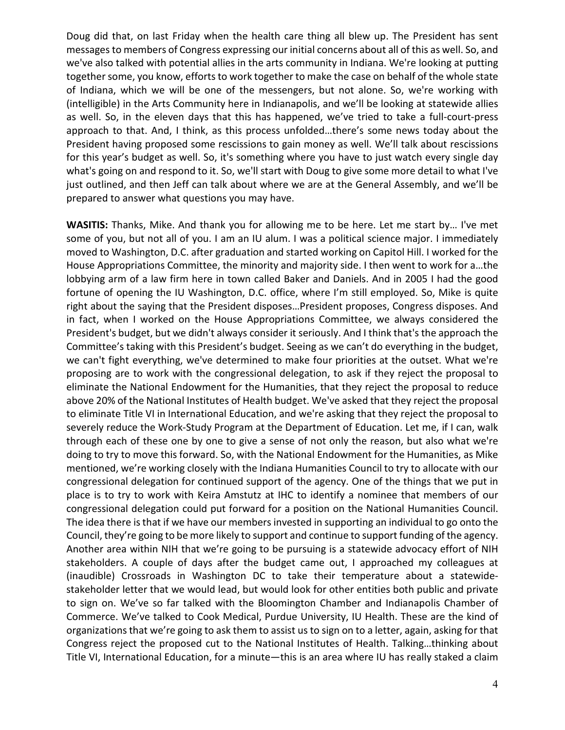Doug did that, on last Friday when the health care thing all blew up. The President has sent messages to members of Congress expressing our initial concerns about all of this as well. So, and we've also talked with potential allies in the arts community in Indiana. We're looking at putting together some, you know, efforts to work together to make the case on behalf of the whole state of Indiana, which we will be one of the messengers, but not alone. So, we're working with (intelligible) in the Arts Community here in Indianapolis, and we'll be looking at statewide allies as well. So, in the eleven days that this has happened, we've tried to take a full-court-press approach to that. And, I think, as this process unfolded…there's some news today about the President having proposed some rescissions to gain money as well. We'll talk about rescissions for this year's budget as well. So, it's something where you have to just watch every single day what's going on and respond to it. So, we'll start with Doug to give some more detail to what I've just outlined, and then Jeff can talk about where we are at the General Assembly, and we'll be prepared to answer what questions you may have.

**WASITIS:** Thanks, Mike. And thank you for allowing me to be here. Let me start by… I've met some of you, but not all of you. I am an IU alum. I was a political science major. I immediately moved to Washington, D.C. after graduation and started working on Capitol Hill. I worked for the House Appropriations Committee, the minority and majority side. I then went to work for a…the lobbying arm of a law firm here in town called Baker and Daniels. And in 2005 I had the good fortune of opening the IU Washington, D.C. office, where I'm still employed. So, Mike is quite right about the saying that the President disposes…President proposes, Congress disposes. And in fact, when I worked on the House Appropriations Committee, we always considered the President's budget, but we didn't always consider it seriously. And I think that's the approach the Committee's taking with this President's budget. Seeing as we can't do everything in the budget, we can't fight everything, we've determined to make four priorities at the outset. What we're proposing are to work with the congressional delegation, to ask if they reject the proposal to eliminate the National Endowment for the Humanities, that they reject the proposal to reduce above 20% of the National Institutes of Health budget. We've asked that they reject the proposal to eliminate Title VI in International Education, and we're asking that they reject the proposal to severely reduce the Work-Study Program at the Department of Education. Let me, if I can, walk through each of these one by one to give a sense of not only the reason, but also what we're doing to try to move this forward. So, with the National Endowment for the Humanities, as Mike mentioned, we're working closely with the Indiana Humanities Council to try to allocate with our congressional delegation for continued support of the agency. One of the things that we put in place is to try to work with Keira Amstutz at IHC to identify a nominee that members of our congressional delegation could put forward for a position on the National Humanities Council. The idea there is that if we have our members invested in supporting an individual to go onto the Council, they're going to be more likely to support and continue to support funding of the agency. Another area within NIH that we're going to be pursuing is a statewide advocacy effort of NIH stakeholders. A couple of days after the budget came out, I approached my colleagues at (inaudible) Crossroads in Washington DC to take their temperature about a statewidestakeholder letter that we would lead, but would look for other entities both public and private to sign on. We've so far talked with the Bloomington Chamber and Indianapolis Chamber of Commerce. We've talked to Cook Medical, Purdue University, IU Health. These are the kind of organizations that we're going to ask them to assist us to sign on to a letter, again, asking for that Congress reject the proposed cut to the National Institutes of Health. Talking…thinking about Title VI, International Education, for a minute—this is an area where IU has really staked a claim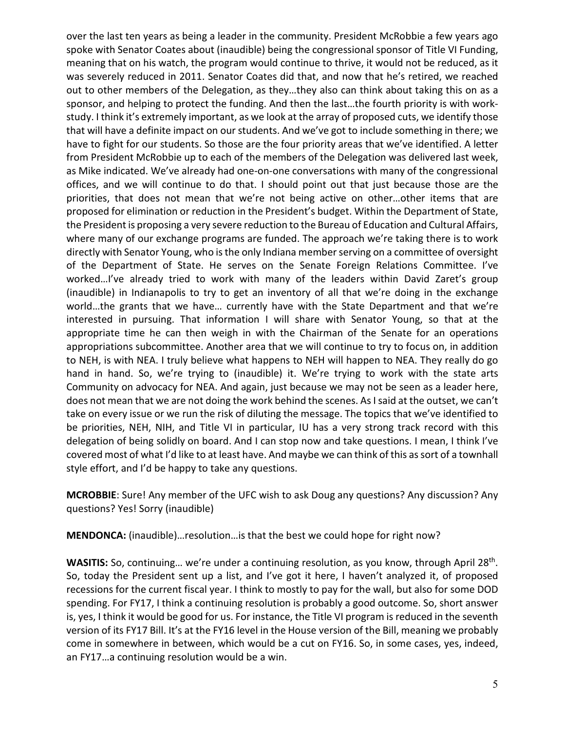over the last ten years as being a leader in the community. President McRobbie a few years ago spoke with Senator Coates about (inaudible) being the congressional sponsor of Title VI Funding, meaning that on his watch, the program would continue to thrive, it would not be reduced, as it was severely reduced in 2011. Senator Coates did that, and now that he's retired, we reached out to other members of the Delegation, as they…they also can think about taking this on as a sponsor, and helping to protect the funding. And then the last…the fourth priority is with workstudy. I think it's extremely important, as we look at the array of proposed cuts, we identify those that will have a definite impact on our students. And we've got to include something in there; we have to fight for our students. So those are the four priority areas that we've identified. A letter from President McRobbie up to each of the members of the Delegation was delivered last week, as Mike indicated. We've already had one-on-one conversations with many of the congressional offices, and we will continue to do that. I should point out that just because those are the priorities, that does not mean that we're not being active on other…other items that are proposed for elimination or reduction in the President's budget. Within the Department of State, the President is proposing a very severe reduction to the Bureau of Education and Cultural Affairs, where many of our exchange programs are funded. The approach we're taking there is to work directly with Senator Young, who is the only Indiana member serving on a committee of oversight of the Department of State. He serves on the Senate Foreign Relations Committee. I've worked…I've already tried to work with many of the leaders within David Zaret's group (inaudible) in Indianapolis to try to get an inventory of all that we're doing in the exchange world…the grants that we have… currently have with the State Department and that we're interested in pursuing. That information I will share with Senator Young, so that at the appropriate time he can then weigh in with the Chairman of the Senate for an operations appropriations subcommittee. Another area that we will continue to try to focus on, in addition to NEH, is with NEA. I truly believe what happens to NEH will happen to NEA. They really do go hand in hand. So, we're trying to (inaudible) it. We're trying to work with the state arts Community on advocacy for NEA. And again, just because we may not be seen as a leader here, does not mean that we are not doing the work behind the scenes. As I said at the outset, we can't take on every issue or we run the risk of diluting the message. The topics that we've identified to be priorities, NEH, NIH, and Title VI in particular, IU has a very strong track record with this delegation of being solidly on board. And I can stop now and take questions. I mean, I think I've covered most of what I'd like to at least have. And maybe we can think of this as sort of a townhall style effort, and I'd be happy to take any questions.

**MCROBBIE**: Sure! Any member of the UFC wish to ask Doug any questions? Any discussion? Any questions? Yes! Sorry (inaudible)

**MENDONCA:** (inaudible)…resolution…is that the best we could hope for right now?

WASITIS: So, continuing... we're under a continuing resolution, as you know, through April 28<sup>th</sup>. So, today the President sent up a list, and I've got it here, I haven't analyzed it, of proposed recessions for the current fiscal year. I think to mostly to pay for the wall, but also for some DOD spending. For FY17, I think a continuing resolution is probably a good outcome. So, short answer is, yes, I think it would be good for us. For instance, the Title VI program is reduced in the seventh version of its FY17 Bill. It's at the FY16 level in the House version of the Bill, meaning we probably come in somewhere in between, which would be a cut on FY16. So, in some cases, yes, indeed, an FY17…a continuing resolution would be a win.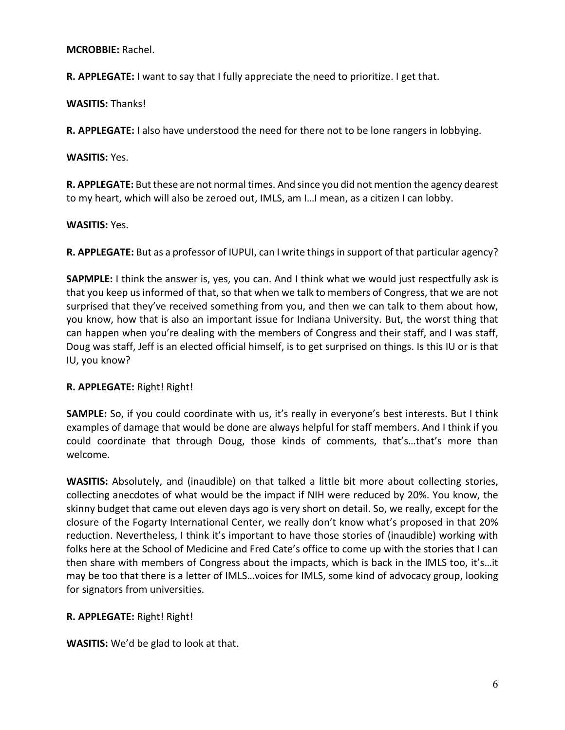**MCROBBIE:** Rachel.

**R. APPLEGATE:** I want to say that I fully appreciate the need to prioritize. I get that.

**WASITIS:** Thanks!

**R. APPLEGATE:** I also have understood the need for there not to be lone rangers in lobbying.

**WASITIS:** Yes.

**R. APPLEGATE:** But these are not normal times. And since you did not mention the agency dearest to my heart, which will also be zeroed out, IMLS, am I…I mean, as a citizen I can lobby.

**WASITIS:** Yes.

**R. APPLEGATE:** But as a professor of IUPUI, can I write thingsin support of that particular agency?

**SAPMPLE:** I think the answer is, yes, you can. And I think what we would just respectfully ask is that you keep us informed of that, so that when we talk to members of Congress, that we are not surprised that they've received something from you, and then we can talk to them about how, you know, how that is also an important issue for Indiana University. But, the worst thing that can happen when you're dealing with the members of Congress and their staff, and I was staff, Doug was staff, Jeff is an elected official himself, is to get surprised on things. Is this IU or is that IU, you know?

## **R. APPLEGATE:** Right! Right!

**SAMPLE:** So, if you could coordinate with us, it's really in everyone's best interests. But I think examples of damage that would be done are always helpful for staff members. And I think if you could coordinate that through Doug, those kinds of comments, that's…that's more than welcome.

**WASITIS:** Absolutely, and (inaudible) on that talked a little bit more about collecting stories, collecting anecdotes of what would be the impact if NIH were reduced by 20%. You know, the skinny budget that came out eleven days ago is very short on detail. So, we really, except for the closure of the Fogarty International Center, we really don't know what's proposed in that 20% reduction. Nevertheless, I think it's important to have those stories of (inaudible) working with folks here at the School of Medicine and Fred Cate's office to come up with the stories that I can then share with members of Congress about the impacts, which is back in the IMLS too, it's…it may be too that there is a letter of IMLS…voices for IMLS, some kind of advocacy group, looking for signators from universities.

# **R. APPLEGATE:** Right! Right!

**WASITIS:** We'd be glad to look at that.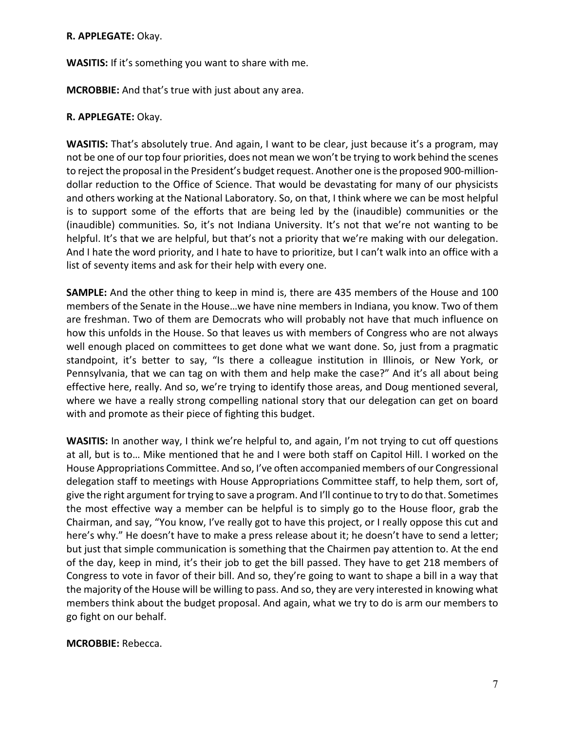#### **R. APPLEGATE:** Okay.

**WASITIS:** If it's something you want to share with me.

**MCROBBIE:** And that's true with just about any area.

## **R. APPLEGATE:** Okay.

**WASITIS:** That's absolutely true. And again, I want to be clear, just because it's a program, may not be one of our top four priorities, does not mean we won't be trying to work behind the scenes to reject the proposal in the President's budget request. Another one is the proposed 900-milliondollar reduction to the Office of Science. That would be devastating for many of our physicists and others working at the National Laboratory. So, on that, I think where we can be most helpful is to support some of the efforts that are being led by the (inaudible) communities or the (inaudible) communities. So, it's not Indiana University. It's not that we're not wanting to be helpful. It's that we are helpful, but that's not a priority that we're making with our delegation. And I hate the word priority, and I hate to have to prioritize, but I can't walk into an office with a list of seventy items and ask for their help with every one.

**SAMPLE:** And the other thing to keep in mind is, there are 435 members of the House and 100 members of the Senate in the House…we have nine members in Indiana, you know. Two of them are freshman. Two of them are Democrats who will probably not have that much influence on how this unfolds in the House. So that leaves us with members of Congress who are not always well enough placed on committees to get done what we want done. So, just from a pragmatic standpoint, it's better to say, "Is there a colleague institution in Illinois, or New York, or Pennsylvania, that we can tag on with them and help make the case?" And it's all about being effective here, really. And so, we're trying to identify those areas, and Doug mentioned several, where we have a really strong compelling national story that our delegation can get on board with and promote as their piece of fighting this budget.

**WASITIS:** In another way, I think we're helpful to, and again, I'm not trying to cut off questions at all, but is to… Mike mentioned that he and I were both staff on Capitol Hill. I worked on the House Appropriations Committee. And so, I've often accompanied members of our Congressional delegation staff to meetings with House Appropriations Committee staff, to help them, sort of, give the right argument for trying to save a program. And I'll continue to try to do that. Sometimes the most effective way a member can be helpful is to simply go to the House floor, grab the Chairman, and say, "You know, I've really got to have this project, or I really oppose this cut and here's why." He doesn't have to make a press release about it; he doesn't have to send a letter; but just that simple communication is something that the Chairmen pay attention to. At the end of the day, keep in mind, it's their job to get the bill passed. They have to get 218 members of Congress to vote in favor of their bill. And so, they're going to want to shape a bill in a way that the majority of the House will be willing to pass. And so, they are very interested in knowing what members think about the budget proposal. And again, what we try to do is arm our members to go fight on our behalf.

### **MCROBBIE:** Rebecca.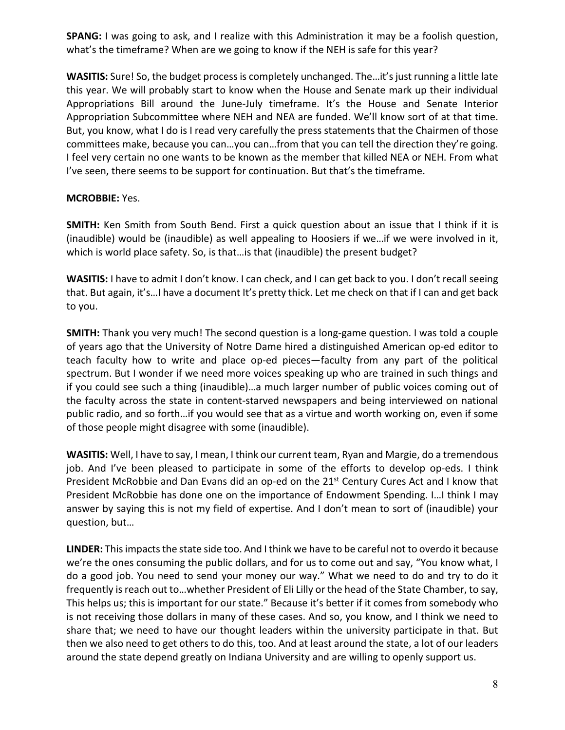**SPANG:** I was going to ask, and I realize with this Administration it may be a foolish question, what's the timeframe? When are we going to know if the NEH is safe for this year?

**WASITIS:** Sure! So, the budget process is completely unchanged. The…it's just running a little late this year. We will probably start to know when the House and Senate mark up their individual Appropriations Bill around the June-July timeframe. It's the House and Senate Interior Appropriation Subcommittee where NEH and NEA are funded. We'll know sort of at that time. But, you know, what I do is I read very carefully the press statements that the Chairmen of those committees make, because you can…you can…from that you can tell the direction they're going. I feel very certain no one wants to be known as the member that killed NEA or NEH. From what I've seen, there seems to be support for continuation. But that's the timeframe.

## **MCROBBIE:** Yes.

**SMITH:** Ken Smith from South Bend. First a quick question about an issue that I think if it is (inaudible) would be (inaudible) as well appealing to Hoosiers if we…if we were involved in it, which is world place safety. So, is that... is that (inaudible) the present budget?

**WASITIS:** I have to admit I don't know. I can check, and I can get back to you. I don't recall seeing that. But again, it's…I have a document It's pretty thick. Let me check on that if I can and get back to you.

**SMITH:** Thank you very much! The second question is a long-game question. I was told a couple of years ago that the University of Notre Dame hired a distinguished American op-ed editor to teach faculty how to write and place op-ed pieces—faculty from any part of the political spectrum. But I wonder if we need more voices speaking up who are trained in such things and if you could see such a thing (inaudible)…a much larger number of public voices coming out of the faculty across the state in content-starved newspapers and being interviewed on national public radio, and so forth…if you would see that as a virtue and worth working on, even if some of those people might disagree with some (inaudible).

**WASITIS:** Well, I have to say, I mean, I think our current team, Ryan and Margie, do a tremendous job. And I've been pleased to participate in some of the efforts to develop op-eds. I think President McRobbie and Dan Evans did an op-ed on the 21<sup>st</sup> Century Cures Act and I know that President McRobbie has done one on the importance of Endowment Spending. I... I think I may answer by saying this is not my field of expertise. And I don't mean to sort of (inaudible) your question, but…

**LINDER:** This impacts the state side too. And I think we have to be careful not to overdo it because we're the ones consuming the public dollars, and for us to come out and say, "You know what, I do a good job. You need to send your money our way." What we need to do and try to do it frequently is reach out to…whether President of Eli Lilly or the head of the State Chamber, to say, This helps us; this is important for our state." Because it's better if it comes from somebody who is not receiving those dollars in many of these cases. And so, you know, and I think we need to share that; we need to have our thought leaders within the university participate in that. But then we also need to get others to do this, too. And at least around the state, a lot of our leaders around the state depend greatly on Indiana University and are willing to openly support us.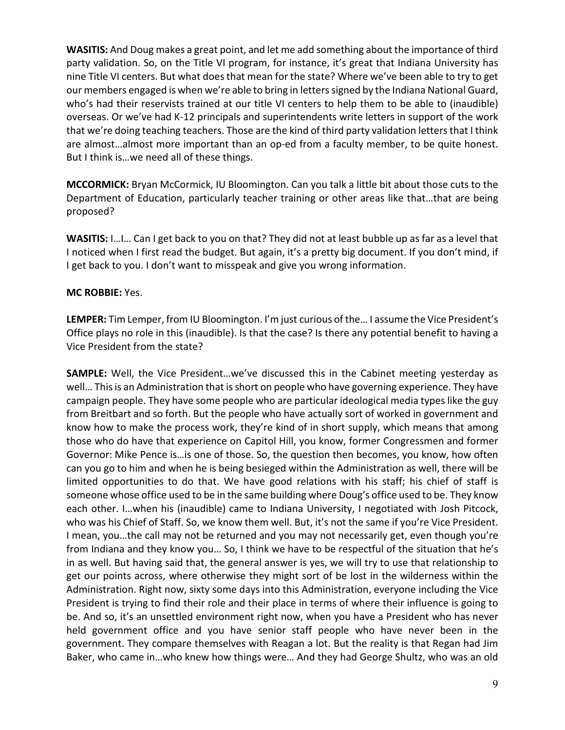**WASITIS:** And Doug makes a great point, and let me add something about the importance of third party validation. So, on the Title VI program, for instance, it's great that Indiana University has nine Title VI centers. But what does that mean for the state? Where we've been able to try to get our members engaged is when we're able to bring in letters signed by the Indiana National Guard, who's had their reservists trained at our title VI centers to help them to be able to (inaudible) overseas. Or we've had K-12 principals and superintendents write letters in support of the work that we're doing teaching teachers. Those are the kind of third party validation letters that I think are almost…almost more important than an op-ed from a faculty member, to be quite honest. But I think is…we need all of these things.

**MCCORMICK:** Bryan McCormick, IU Bloomington. Can you talk a little bit about those cuts to the Department of Education, particularly teacher training or other areas like that…that are being proposed?

**WASITIS:** I…I… Can I get back to you on that? They did not at least bubble up as far as a level that I noticed when I first read the budget. But again, it's a pretty big document. If you don't mind, if I get back to you. I don't want to misspeak and give you wrong information.

## **MC ROBBIE:** Yes.

**LEMPER:** Tim Lemper, from IU Bloomington. I'm just curious of the… I assume the Vice President's Office plays no role in this (inaudible). Is that the case? Is there any potential benefit to having a Vice President from the state?

**SAMPLE:** Well, the Vice President…we've discussed this in the Cabinet meeting yesterday as well… This is an Administration that is short on people who have governing experience. They have campaign people. They have some people who are particular ideological media types like the guy from Breitbart and so forth. But the people who have actually sort of worked in government and know how to make the process work, they're kind of in short supply, which means that among those who do have that experience on Capitol Hill, you know, former Congressmen and former Governor: Mike Pence is…is one of those. So, the question then becomes, you know, how often can you go to him and when he is being besieged within the Administration as well, there will be limited opportunities to do that. We have good relations with his staff; his chief of staff is someone whose office used to be in the same building where Doug's office used to be. They know each other. I…when his (inaudible) came to Indiana University, I negotiated with Josh Pitcock, who was his Chief of Staff. So, we know them well. But, it's not the same if you're Vice President. I mean, you…the call may not be returned and you may not necessarily get, even though you're from Indiana and they know you… So, I think we have to be respectful of the situation that he's in as well. But having said that, the general answer is yes, we will try to use that relationship to get our points across, where otherwise they might sort of be lost in the wilderness within the Administration. Right now, sixty some days into this Administration, everyone including the Vice President is trying to find their role and their place in terms of where their influence is going to be. And so, it's an unsettled environment right now, when you have a President who has never held government office and you have senior staff people who have never been in the government. They compare themselves with Reagan a lot. But the reality is that Regan had Jim Baker, who came in…who knew how things were… And they had George Shultz, who was an old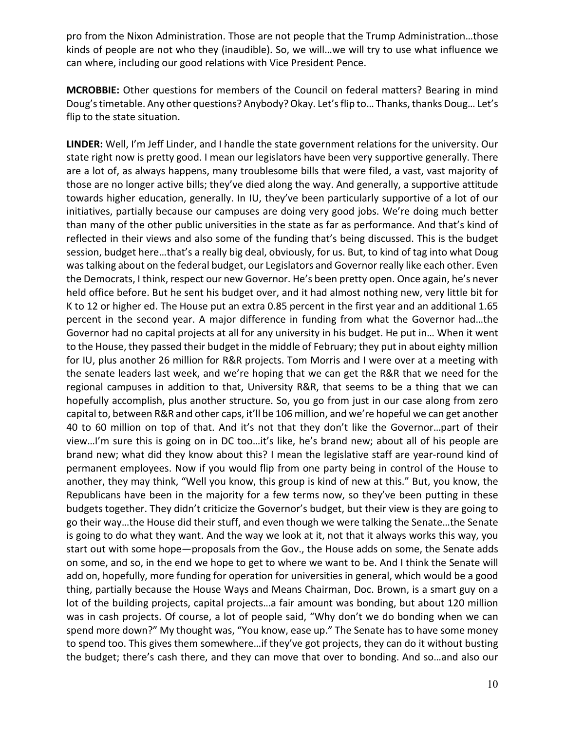pro from the Nixon Administration. Those are not people that the Trump Administration…those kinds of people are not who they (inaudible). So, we will…we will try to use what influence we can where, including our good relations with Vice President Pence.

**MCROBBIE:** Other questions for members of the Council on federal matters? Bearing in mind Doug's timetable. Any other questions? Anybody? Okay. Let's flip to… Thanks, thanks Doug… Let's flip to the state situation.

**LINDER:** Well, I'm Jeff Linder, and I handle the state government relations for the university. Our state right now is pretty good. I mean our legislators have been very supportive generally. There are a lot of, as always happens, many troublesome bills that were filed, a vast, vast majority of those are no longer active bills; they've died along the way. And generally, a supportive attitude towards higher education, generally. In IU, they've been particularly supportive of a lot of our initiatives, partially because our campuses are doing very good jobs. We're doing much better than many of the other public universities in the state as far as performance. And that's kind of reflected in their views and also some of the funding that's being discussed. This is the budget session, budget here…that's a really big deal, obviously, for us. But, to kind of tag into what Doug was talking about on the federal budget, our Legislators and Governor really like each other. Even the Democrats, I think, respect our new Governor. He's been pretty open. Once again, he's never held office before. But he sent his budget over, and it had almost nothing new, very little bit for K to 12 or higher ed. The House put an extra 0.85 percent in the first year and an additional 1.65 percent in the second year. A major difference in funding from what the Governor had…the Governor had no capital projects at all for any university in his budget. He put in… When it went to the House, they passed their budget in the middle of February; they put in about eighty million for IU, plus another 26 million for R&R projects. Tom Morris and I were over at a meeting with the senate leaders last week, and we're hoping that we can get the R&R that we need for the regional campuses in addition to that, University R&R, that seems to be a thing that we can hopefully accomplish, plus another structure. So, you go from just in our case along from zero capital to, between R&R and other caps, it'll be 106 million, and we're hopeful we can get another 40 to 60 million on top of that. And it's not that they don't like the Governor…part of their view…I'm sure this is going on in DC too…it's like, he's brand new; about all of his people are brand new; what did they know about this? I mean the legislative staff are year-round kind of permanent employees. Now if you would flip from one party being in control of the House to another, they may think, "Well you know, this group is kind of new at this." But, you know, the Republicans have been in the majority for a few terms now, so they've been putting in these budgets together. They didn't criticize the Governor's budget, but their view is they are going to go their way…the House did their stuff, and even though we were talking the Senate…the Senate is going to do what they want. And the way we look at it, not that it always works this way, you start out with some hope—proposals from the Gov., the House adds on some, the Senate adds on some, and so, in the end we hope to get to where we want to be. And I think the Senate will add on, hopefully, more funding for operation for universities in general, which would be a good thing, partially because the House Ways and Means Chairman, Doc. Brown, is a smart guy on a lot of the building projects, capital projects…a fair amount was bonding, but about 120 million was in cash projects. Of course, a lot of people said, "Why don't we do bonding when we can spend more down?" My thought was, "You know, ease up." The Senate has to have some money to spend too. This gives them somewhere…if they've got projects, they can do it without busting the budget; there's cash there, and they can move that over to bonding. And so…and also our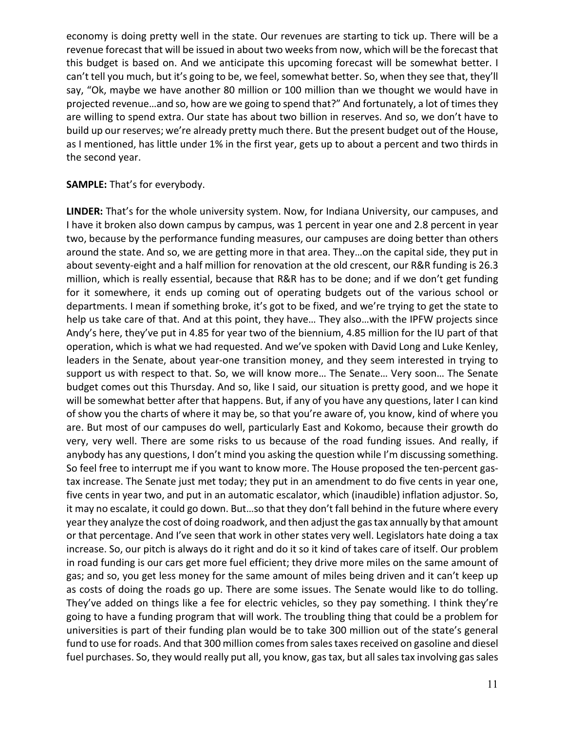economy is doing pretty well in the state. Our revenues are starting to tick up. There will be a revenue forecast that will be issued in about two weeks from now, which will be the forecast that this budget is based on. And we anticipate this upcoming forecast will be somewhat better. I can't tell you much, but it's going to be, we feel, somewhat better. So, when they see that, they'll say, "Ok, maybe we have another 80 million or 100 million than we thought we would have in projected revenue...and so, how are we going to spend that?" And fortunately, a lot of times they are willing to spend extra. Our state has about two billion in reserves. And so, we don't have to build up our reserves; we're already pretty much there. But the present budget out of the House, as I mentioned, has little under 1% in the first year, gets up to about a percent and two thirds in the second year.

### **SAMPLE:** That's for everybody.

**LINDER:** That's for the whole university system. Now, for Indiana University, our campuses, and I have it broken also down campus by campus, was 1 percent in year one and 2.8 percent in year two, because by the performance funding measures, our campuses are doing better than others around the state. And so, we are getting more in that area. They…on the capital side, they put in about seventy-eight and a half million for renovation at the old crescent, our R&R funding is 26.3 million, which is really essential, because that R&R has to be done; and if we don't get funding for it somewhere, it ends up coming out of operating budgets out of the various school or departments. I mean if something broke, it's got to be fixed, and we're trying to get the state to help us take care of that. And at this point, they have… They also…with the IPFW projects since Andy's here, they've put in 4.85 for year two of the biennium, 4.85 million for the IU part of that operation, which is what we had requested. And we've spoken with David Long and Luke Kenley, leaders in the Senate, about year-one transition money, and they seem interested in trying to support us with respect to that. So, we will know more… The Senate… Very soon… The Senate budget comes out this Thursday. And so, like I said, our situation is pretty good, and we hope it will be somewhat better after that happens. But, if any of you have any questions, later I can kind of show you the charts of where it may be, so that you're aware of, you know, kind of where you are. But most of our campuses do well, particularly East and Kokomo, because their growth do very, very well. There are some risks to us because of the road funding issues. And really, if anybody has any questions, I don't mind you asking the question while I'm discussing something. So feel free to interrupt me if you want to know more. The House proposed the ten-percent gastax increase. The Senate just met today; they put in an amendment to do five cents in year one, five cents in year two, and put in an automatic escalator, which (inaudible) inflation adjustor. So, it may no escalate, it could go down. But…so that they don't fall behind in the future where every year they analyze the cost of doing roadwork, and then adjust the gas tax annually by that amount or that percentage. And I've seen that work in other states very well. Legislators hate doing a tax increase. So, our pitch is always do it right and do it so it kind of takes care of itself. Our problem in road funding is our cars get more fuel efficient; they drive more miles on the same amount of gas; and so, you get less money for the same amount of miles being driven and it can't keep up as costs of doing the roads go up. There are some issues. The Senate would like to do tolling. They've added on things like a fee for electric vehicles, so they pay something. I think they're going to have a funding program that will work. The troubling thing that could be a problem for universities is part of their funding plan would be to take 300 million out of the state's general fund to use for roads. And that 300 million comes from sales taxes received on gasoline and diesel fuel purchases. So, they would really put all, you know, gas tax, but all sales tax involving gas sales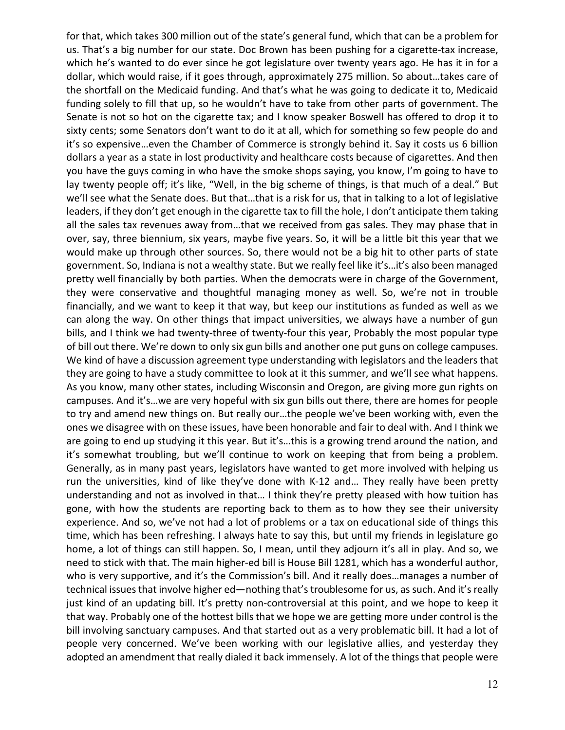for that, which takes 300 million out of the state's general fund, which that can be a problem for us. That's a big number for our state. Doc Brown has been pushing for a cigarette-tax increase, which he's wanted to do ever since he got legislature over twenty years ago. He has it in for a dollar, which would raise, if it goes through, approximately 275 million. So about…takes care of the shortfall on the Medicaid funding. And that's what he was going to dedicate it to, Medicaid funding solely to fill that up, so he wouldn't have to take from other parts of government. The Senate is not so hot on the cigarette tax; and I know speaker Boswell has offered to drop it to sixty cents; some Senators don't want to do it at all, which for something so few people do and it's so expensive…even the Chamber of Commerce is strongly behind it. Say it costs us 6 billion dollars a year as a state in lost productivity and healthcare costs because of cigarettes. And then you have the guys coming in who have the smoke shops saying, you know, I'm going to have to lay twenty people off; it's like, "Well, in the big scheme of things, is that much of a deal." But we'll see what the Senate does. But that…that is a risk for us, that in talking to a lot of legislative leaders, if they don't get enough in the cigarette tax to fill the hole, I don't anticipate them taking all the sales tax revenues away from…that we received from gas sales. They may phase that in over, say, three biennium, six years, maybe five years. So, it will be a little bit this year that we would make up through other sources. So, there would not be a big hit to other parts of state government. So, Indiana is not a wealthy state. But we really feel like it's…it's also been managed pretty well financially by both parties. When the democrats were in charge of the Government, they were conservative and thoughtful managing money as well. So, we're not in trouble financially, and we want to keep it that way, but keep our institutions as funded as well as we can along the way. On other things that impact universities, we always have a number of gun bills, and I think we had twenty-three of twenty-four this year, Probably the most popular type of bill out there. We're down to only six gun bills and another one put guns on college campuses. We kind of have a discussion agreement type understanding with legislators and the leaders that they are going to have a study committee to look at it this summer, and we'll see what happens. As you know, many other states, including Wisconsin and Oregon, are giving more gun rights on campuses. And it's…we are very hopeful with six gun bills out there, there are homes for people to try and amend new things on. But really our…the people we've been working with, even the ones we disagree with on these issues, have been honorable and fair to deal with. And I think we are going to end up studying it this year. But it's…this is a growing trend around the nation, and it's somewhat troubling, but we'll continue to work on keeping that from being a problem. Generally, as in many past years, legislators have wanted to get more involved with helping us run the universities, kind of like they've done with K-12 and… They really have been pretty understanding and not as involved in that… I think they're pretty pleased with how tuition has gone, with how the students are reporting back to them as to how they see their university experience. And so, we've not had a lot of problems or a tax on educational side of things this time, which has been refreshing. I always hate to say this, but until my friends in legislature go home, a lot of things can still happen. So, I mean, until they adjourn it's all in play. And so, we need to stick with that. The main higher-ed bill is House Bill 1281, which has a wonderful author, who is very supportive, and it's the Commission's bill. And it really does...manages a number of technical issues that involve higher ed—nothing that's troublesome for us, as such. And it's really just kind of an updating bill. It's pretty non-controversial at this point, and we hope to keep it that way. Probably one of the hottest bills that we hope we are getting more under control is the bill involving sanctuary campuses. And that started out as a very problematic bill. It had a lot of people very concerned. We've been working with our legislative allies, and yesterday they adopted an amendment that really dialed it back immensely. A lot of the things that people were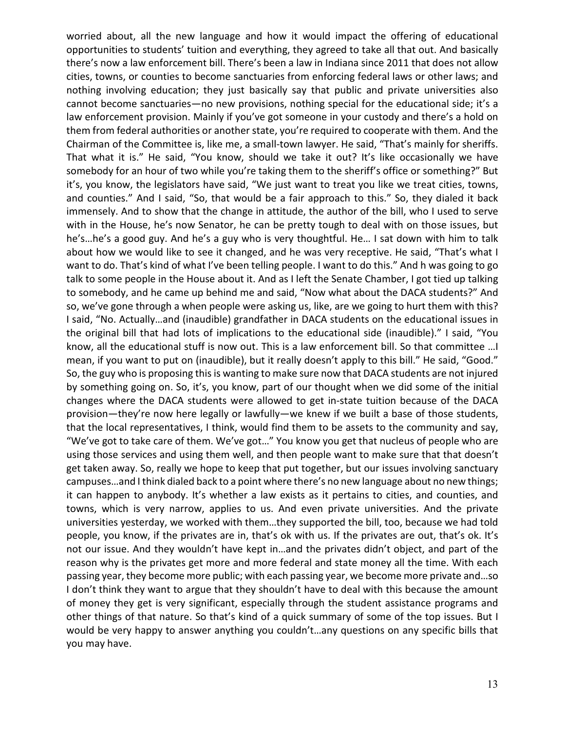worried about, all the new language and how it would impact the offering of educational opportunities to students' tuition and everything, they agreed to take all that out. And basically there's now a law enforcement bill. There's been a law in Indiana since 2011 that does not allow cities, towns, or counties to become sanctuaries from enforcing federal laws or other laws; and nothing involving education; they just basically say that public and private universities also cannot become sanctuaries—no new provisions, nothing special for the educational side; it's a law enforcement provision. Mainly if you've got someone in your custody and there's a hold on them from federal authorities or another state, you're required to cooperate with them. And the Chairman of the Committee is, like me, a small-town lawyer. He said, "That's mainly for sheriffs. That what it is." He said, "You know, should we take it out? It's like occasionally we have somebody for an hour of two while you're taking them to the sheriff's office or something?" But it's, you know, the legislators have said, "We just want to treat you like we treat cities, towns, and counties." And I said, "So, that would be a fair approach to this." So, they dialed it back immensely. And to show that the change in attitude, the author of the bill, who I used to serve with in the House, he's now Senator, he can be pretty tough to deal with on those issues, but he's…he's a good guy. And he's a guy who is very thoughtful. He… I sat down with him to talk about how we would like to see it changed, and he was very receptive. He said, "That's what I want to do. That's kind of what I've been telling people. I want to do this." And h was going to go talk to some people in the House about it. And as I left the Senate Chamber, I got tied up talking to somebody, and he came up behind me and said, "Now what about the DACA students?" And so, we've gone through a when people were asking us, like, are we going to hurt them with this? I said, "No. Actually…and (inaudible) grandfather in DACA students on the educational issues in the original bill that had lots of implications to the educational side (inaudible)." I said, "You know, all the educational stuff is now out. This is a law enforcement bill. So that committee …I mean, if you want to put on (inaudible), but it really doesn't apply to this bill." He said, "Good." So, the guy who is proposing this is wanting to make sure now that DACA students are not injured by something going on. So, it's, you know, part of our thought when we did some of the initial changes where the DACA students were allowed to get in-state tuition because of the DACA provision—they're now here legally or lawfully—we knew if we built a base of those students, that the local representatives, I think, would find them to be assets to the community and say, "We've got to take care of them. We've got…" You know you get that nucleus of people who are using those services and using them well, and then people want to make sure that that doesn't get taken away. So, really we hope to keep that put together, but our issues involving sanctuary campuses…and I think dialed back to a point where there's no new language about no new things; it can happen to anybody. It's whether a law exists as it pertains to cities, and counties, and towns, which is very narrow, applies to us. And even private universities. And the private universities yesterday, we worked with them…they supported the bill, too, because we had told people, you know, if the privates are in, that's ok with us. If the privates are out, that's ok. It's not our issue. And they wouldn't have kept in…and the privates didn't object, and part of the reason why is the privates get more and more federal and state money all the time. With each passing year, they become more public; with each passing year, we become more private and…so I don't think they want to argue that they shouldn't have to deal with this because the amount of money they get is very significant, especially through the student assistance programs and other things of that nature. So that's kind of a quick summary of some of the top issues. But I would be very happy to answer anything you couldn't…any questions on any specific bills that you may have.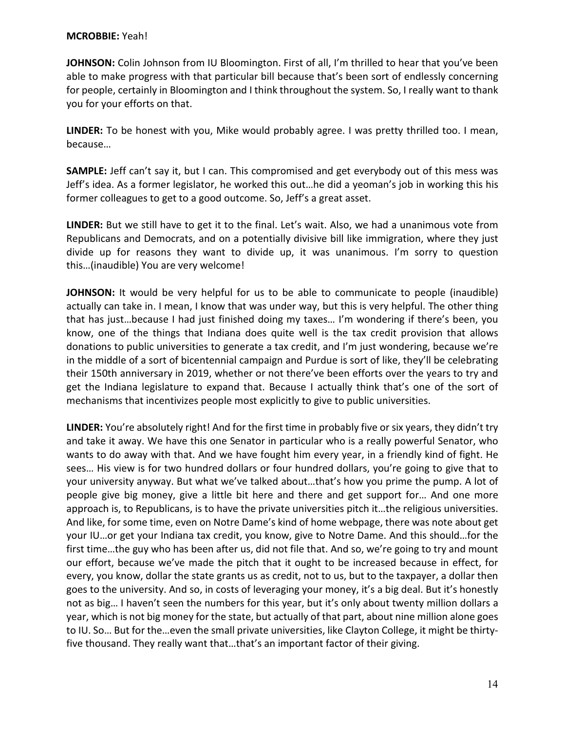#### **MCROBBIE:** Yeah!

**JOHNSON:** Colin Johnson from IU Bloomington. First of all, I'm thrilled to hear that you've been able to make progress with that particular bill because that's been sort of endlessly concerning for people, certainly in Bloomington and I think throughout the system. So, I really want to thank you for your efforts on that.

**LINDER:** To be honest with you, Mike would probably agree. I was pretty thrilled too. I mean, because…

**SAMPLE:** Jeff can't say it, but I can. This compromised and get everybody out of this mess was Jeff's idea. As a former legislator, he worked this out…he did a yeoman's job in working this his former colleagues to get to a good outcome. So, Jeff's a great asset.

**LINDER:** But we still have to get it to the final. Let's wait. Also, we had a unanimous vote from Republicans and Democrats, and on a potentially divisive bill like immigration, where they just divide up for reasons they want to divide up, it was unanimous. I'm sorry to question this…(inaudible) You are very welcome!

**JOHNSON:** It would be very helpful for us to be able to communicate to people (inaudible) actually can take in. I mean, I know that was under way, but this is very helpful. The other thing that has just…because I had just finished doing my taxes… I'm wondering if there's been, you know, one of the things that Indiana does quite well is the tax credit provision that allows donations to public universities to generate a tax credit, and I'm just wondering, because we're in the middle of a sort of bicentennial campaign and Purdue is sort of like, they'll be celebrating their 150th anniversary in 2019, whether or not there've been efforts over the years to try and get the Indiana legislature to expand that. Because I actually think that's one of the sort of mechanisms that incentivizes people most explicitly to give to public universities.

**LINDER:** You're absolutely right! And for the first time in probably five or six years, they didn't try and take it away. We have this one Senator in particular who is a really powerful Senator, who wants to do away with that. And we have fought him every year, in a friendly kind of fight. He sees… His view is for two hundred dollars or four hundred dollars, you're going to give that to your university anyway. But what we've talked about…that's how you prime the pump. A lot of people give big money, give a little bit here and there and get support for… And one more approach is, to Republicans, is to have the private universities pitch it…the religious universities. And like, for some time, even on Notre Dame's kind of home webpage, there was note about get your IU…or get your Indiana tax credit, you know, give to Notre Dame. And this should…for the first time…the guy who has been after us, did not file that. And so, we're going to try and mount our effort, because we've made the pitch that it ought to be increased because in effect, for every, you know, dollar the state grants us as credit, not to us, but to the taxpayer, a dollar then goes to the university. And so, in costs of leveraging your money, it's a big deal. But it's honestly not as big… I haven't seen the numbers for this year, but it's only about twenty million dollars a year, which is not big money for the state, but actually of that part, about nine million alone goes to IU. So… But for the…even the small private universities, like Clayton College, it might be thirtyfive thousand. They really want that…that's an important factor of their giving.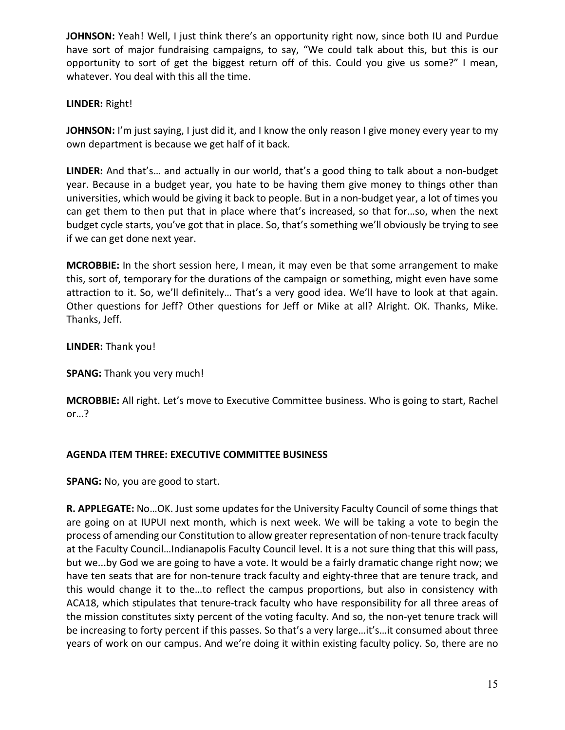**JOHNSON:** Yeah! Well, I just think there's an opportunity right now, since both IU and Purdue have sort of major fundraising campaigns, to say, "We could talk about this, but this is our opportunity to sort of get the biggest return off of this. Could you give us some?" I mean, whatever. You deal with this all the time.

## **LINDER:** Right!

**JOHNSON:** I'm just saying, I just did it, and I know the only reason I give money every year to my own department is because we get half of it back.

**LINDER:** And that's… and actually in our world, that's a good thing to talk about a non-budget year. Because in a budget year, you hate to be having them give money to things other than universities, which would be giving it back to people. But in a non-budget year, a lot of times you can get them to then put that in place where that's increased, so that for…so, when the next budget cycle starts, you've got that in place. So, that's something we'll obviously be trying to see if we can get done next year.

**MCROBBIE:** In the short session here, I mean, it may even be that some arrangement to make this, sort of, temporary for the durations of the campaign or something, might even have some attraction to it. So, we'll definitely… That's a very good idea. We'll have to look at that again. Other questions for Jeff? Other questions for Jeff or Mike at all? Alright. OK. Thanks, Mike. Thanks, Jeff.

**LINDER:** Thank you!

**SPANG:** Thank you very much!

**MCROBBIE:** All right. Let's move to Executive Committee business. Who is going to start, Rachel or…?

## **AGENDA ITEM THREE: EXECUTIVE COMMITTEE BUSINESS**

**SPANG:** No, you are good to start.

**R. APPLEGATE:** No…OK. Just some updates for the University Faculty Council of some things that are going on at IUPUI next month, which is next week. We will be taking a vote to begin the process of amending our Constitution to allow greater representation of non-tenure track faculty at the Faculty Council…Indianapolis Faculty Council level. It is a not sure thing that this will pass, but we...by God we are going to have a vote. It would be a fairly dramatic change right now; we have ten seats that are for non-tenure track faculty and eighty-three that are tenure track, and this would change it to the…to reflect the campus proportions, but also in consistency with ACA18, which stipulates that tenure-track faculty who have responsibility for all three areas of the mission constitutes sixty percent of the voting faculty. And so, the non-yet tenure track will be increasing to forty percent if this passes. So that's a very large…it's…it consumed about three years of work on our campus. And we're doing it within existing faculty policy. So, there are no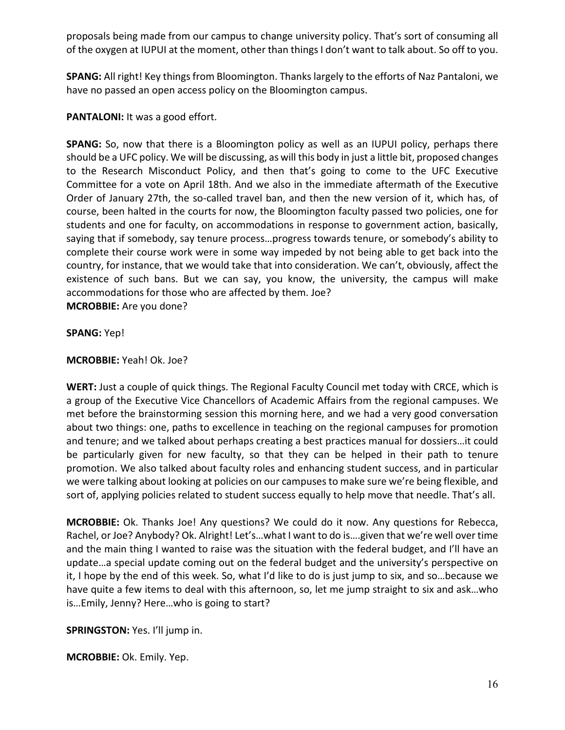proposals being made from our campus to change university policy. That's sort of consuming all of the oxygen at IUPUI at the moment, other than things I don't want to talk about. So off to you.

**SPANG:** All right! Key things from Bloomington. Thanks largely to the efforts of Naz Pantaloni, we have no passed an open access policy on the Bloomington campus.

PANTALONI: It was a good effort.

**SPANG:** So, now that there is a Bloomington policy as well as an IUPUI policy, perhaps there should be a UFC policy. We will be discussing, as will this body in just a little bit, proposed changes to the Research Misconduct Policy, and then that's going to come to the UFC Executive Committee for a vote on April 18th. And we also in the immediate aftermath of the Executive Order of January 27th, the so-called travel ban, and then the new version of it, which has, of course, been halted in the courts for now, the Bloomington faculty passed two policies, one for students and one for faculty, on accommodations in response to government action, basically, saying that if somebody, say tenure process…progress towards tenure, or somebody's ability to complete their course work were in some way impeded by not being able to get back into the country, for instance, that we would take that into consideration. We can't, obviously, affect the existence of such bans. But we can say, you know, the university, the campus will make accommodations for those who are affected by them. Joe? **MCROBBIE:** Are you done?

#### **SPANG:** Yep!

### **MCROBBIE:** Yeah! Ok. Joe?

**WERT:** Just a couple of quick things. The Regional Faculty Council met today with CRCE, which is a group of the Executive Vice Chancellors of Academic Affairs from the regional campuses. We met before the brainstorming session this morning here, and we had a very good conversation about two things: one, paths to excellence in teaching on the regional campuses for promotion and tenure; and we talked about perhaps creating a best practices manual for dossiers…it could be particularly given for new faculty, so that they can be helped in their path to tenure promotion. We also talked about faculty roles and enhancing student success, and in particular we were talking about looking at policies on our campuses to make sure we're being flexible, and sort of, applying policies related to student success equally to help move that needle. That's all.

**MCROBBIE:** Ok. Thanks Joe! Any questions? We could do it now. Any questions for Rebecca, Rachel, or Joe? Anybody? Ok. Alright! Let's...what I want to do is....given that we're well over time and the main thing I wanted to raise was the situation with the federal budget, and I'll have an update…a special update coming out on the federal budget and the university's perspective on it, I hope by the end of this week. So, what I'd like to do is just jump to six, and so…because we have quite a few items to deal with this afternoon, so, let me jump straight to six and ask…who is…Emily, Jenny? Here…who is going to start?

**SPRINGSTON:** Yes. I'll jump in.

**MCROBBIE:** Ok. Emily. Yep.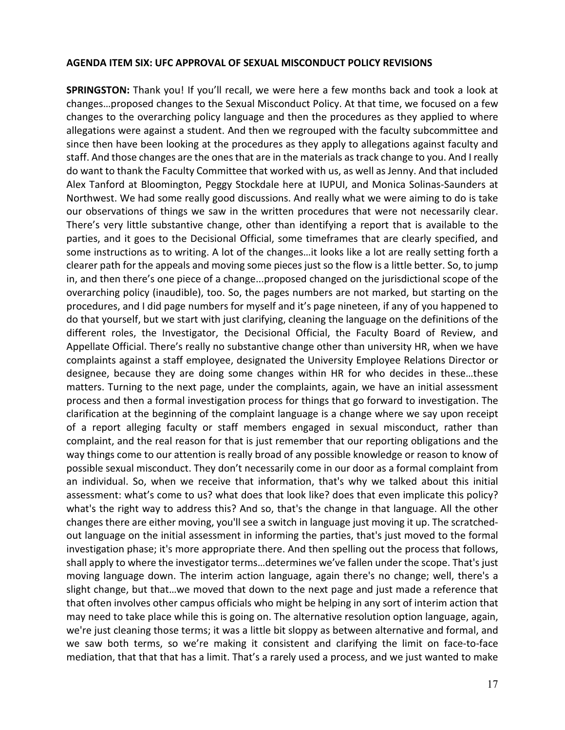#### **AGENDA ITEM SIX: UFC APPROVAL OF SEXUAL MISCONDUCT POLICY REVISIONS**

**SPRINGSTON:** Thank you! If you'll recall, we were here a few months back and took a look at changes…proposed changes to the Sexual Misconduct Policy. At that time, we focused on a few changes to the overarching policy language and then the procedures as they applied to where allegations were against a student. And then we regrouped with the faculty subcommittee and since then have been looking at the procedures as they apply to allegations against faculty and staff. And those changes are the ones that are in the materials as track change to you. And I really do want to thank the Faculty Committee that worked with us, as well as Jenny. And that included Alex Tanford at Bloomington, Peggy Stockdale here at IUPUI, and Monica Solinas-Saunders at Northwest. We had some really good discussions. And really what we were aiming to do is take our observations of things we saw in the written procedures that were not necessarily clear. There's very little substantive change, other than identifying a report that is available to the parties, and it goes to the Decisional Official, some timeframes that are clearly specified, and some instructions as to writing. A lot of the changes…it looks like a lot are really setting forth a clearer path for the appeals and moving some pieces just so the flow is a little better. So, to jump in, and then there's one piece of a change...proposed changed on the jurisdictional scope of the overarching policy (inaudible), too. So, the pages numbers are not marked, but starting on the procedures, and I did page numbers for myself and it's page nineteen, if any of you happened to do that yourself, but we start with just clarifying, cleaning the language on the definitions of the different roles, the Investigator, the Decisional Official, the Faculty Board of Review, and Appellate Official. There's really no substantive change other than university HR, when we have complaints against a staff employee, designated the University Employee Relations Director or designee, because they are doing some changes within HR for who decides in these…these matters. Turning to the next page, under the complaints, again, we have an initial assessment process and then a formal investigation process for things that go forward to investigation. The clarification at the beginning of the complaint language is a change where we say upon receipt of a report alleging faculty or staff members engaged in sexual misconduct, rather than complaint, and the real reason for that is just remember that our reporting obligations and the way things come to our attention is really broad of any possible knowledge or reason to know of possible sexual misconduct. They don't necessarily come in our door as a formal complaint from an individual. So, when we receive that information, that's why we talked about this initial assessment: what's come to us? what does that look like? does that even implicate this policy? what's the right way to address this? And so, that's the change in that language. All the other changes there are either moving, you'll see a switch in language just moving it up. The scratchedout language on the initial assessment in informing the parties, that's just moved to the formal investigation phase; it's more appropriate there. And then spelling out the process that follows, shall apply to where the investigator terms…determines we've fallen under the scope. That's just moving language down. The interim action language, again there's no change; well, there's a slight change, but that…we moved that down to the next page and just made a reference that that often involves other campus officials who might be helping in any sort of interim action that may need to take place while this is going on. The alternative resolution option language, again, we're just cleaning those terms; it was a little bit sloppy as between alternative and formal, and we saw both terms, so we're making it consistent and clarifying the limit on face-to-face mediation, that that that has a limit. That's a rarely used a process, and we just wanted to make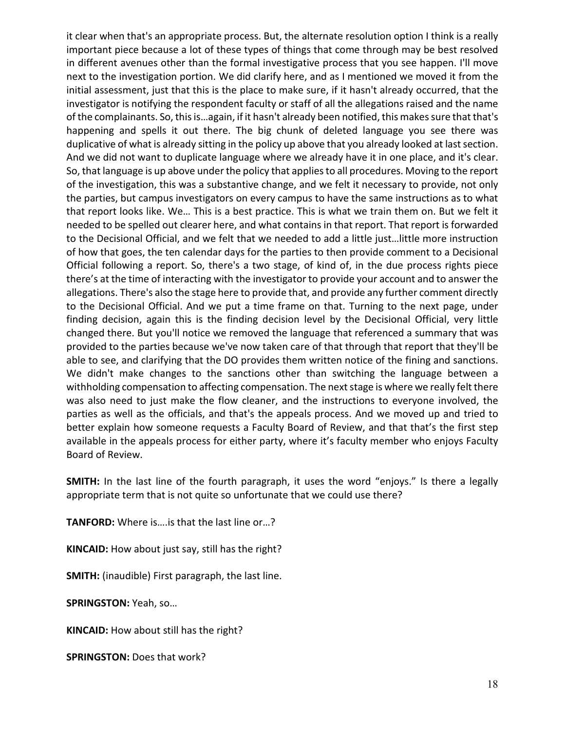it clear when that's an appropriate process. But, the alternate resolution option I think is a really important piece because a lot of these types of things that come through may be best resolved in different avenues other than the formal investigative process that you see happen. I'll move next to the investigation portion. We did clarify here, and as I mentioned we moved it from the initial assessment, just that this is the place to make sure, if it hasn't already occurred, that the investigator is notifying the respondent faculty or staff of all the allegations raised and the name of the complainants. So, this is…again, if it hasn't already been notified, this makes sure that that's happening and spells it out there. The big chunk of deleted language you see there was duplicative of what is already sitting in the policy up above that you already looked at last section. And we did not want to duplicate language where we already have it in one place, and it's clear. So, that language is up above under the policy that applies to all procedures. Moving to the report of the investigation, this was a substantive change, and we felt it necessary to provide, not only the parties, but campus investigators on every campus to have the same instructions as to what that report looks like. We… This is a best practice. This is what we train them on. But we felt it needed to be spelled out clearer here, and what contains in that report. That report is forwarded to the Decisional Official, and we felt that we needed to add a little just…little more instruction of how that goes, the ten calendar days for the parties to then provide comment to a Decisional Official following a report. So, there's a two stage, of kind of, in the due process rights piece there's at the time of interacting with the investigator to provide your account and to answer the allegations. There's also the stage here to provide that, and provide any further comment directly to the Decisional Official. And we put a time frame on that. Turning to the next page, under finding decision, again this is the finding decision level by the Decisional Official, very little changed there. But you'll notice we removed the language that referenced a summary that was provided to the parties because we've now taken care of that through that report that they'll be able to see, and clarifying that the DO provides them written notice of the fining and sanctions. We didn't make changes to the sanctions other than switching the language between a withholding compensation to affecting compensation. The next stage is where we really felt there was also need to just make the flow cleaner, and the instructions to everyone involved, the parties as well as the officials, and that's the appeals process. And we moved up and tried to better explain how someone requests a Faculty Board of Review, and that that's the first step available in the appeals process for either party, where it's faculty member who enjoys Faculty Board of Review.

**SMITH:** In the last line of the fourth paragraph, it uses the word "enjoys." Is there a legally appropriate term that is not quite so unfortunate that we could use there?

**TANFORD:** Where is….is that the last line or…?

**KINCAID:** How about just say, still has the right?

**SMITH:** (inaudible) First paragraph, the last line.

**SPRINGSTON:** Yeah, so…

**KINCAID:** How about still has the right?

**SPRINGSTON:** Does that work?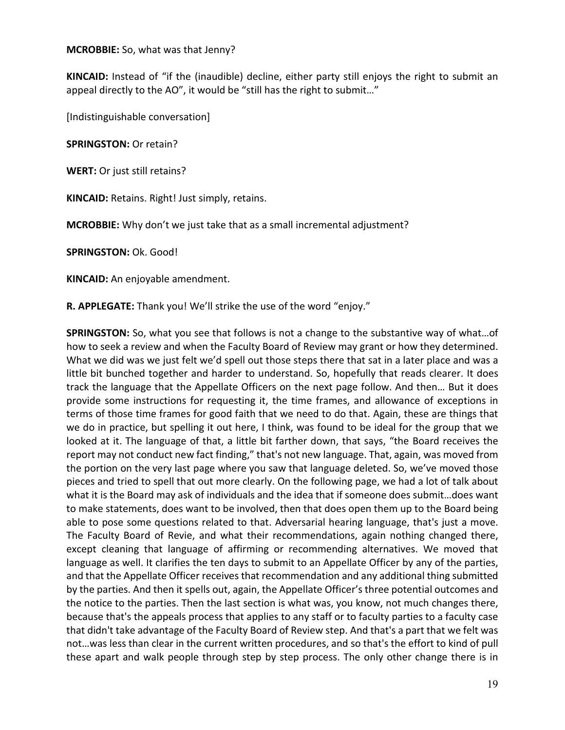#### **MCROBBIE:** So, what was that Jenny?

**KINCAID:** Instead of "if the (inaudible) decline, either party still enjoys the right to submit an appeal directly to the AO", it would be "still has the right to submit…"

[Indistinguishable conversation]

**SPRINGSTON:** Or retain?

**WERT:** Or just still retains?

**KINCAID:** Retains. Right! Just simply, retains.

**MCROBBIE:** Why don't we just take that as a small incremental adjustment?

**SPRINGSTON:** Ok. Good!

**KINCAID:** An enjoyable amendment.

**R. APPLEGATE:** Thank you! We'll strike the use of the word "enjoy."

**SPRINGSTON:** So, what you see that follows is not a change to the substantive way of what…of how to seek a review and when the Faculty Board of Review may grant or how they determined. What we did was we just felt we'd spell out those steps there that sat in a later place and was a little bit bunched together and harder to understand. So, hopefully that reads clearer. It does track the language that the Appellate Officers on the next page follow. And then… But it does provide some instructions for requesting it, the time frames, and allowance of exceptions in terms of those time frames for good faith that we need to do that. Again, these are things that we do in practice, but spelling it out here, I think, was found to be ideal for the group that we looked at it. The language of that, a little bit farther down, that says, "the Board receives the report may not conduct new fact finding," that's not new language. That, again, was moved from the portion on the very last page where you saw that language deleted. So, we've moved those pieces and tried to spell that out more clearly. On the following page, we had a lot of talk about what it is the Board may ask of individuals and the idea that if someone does submit…does want to make statements, does want to be involved, then that does open them up to the Board being able to pose some questions related to that. Adversarial hearing language, that's just a move. The Faculty Board of Revie, and what their recommendations, again nothing changed there, except cleaning that language of affirming or recommending alternatives. We moved that language as well. It clarifies the ten days to submit to an Appellate Officer by any of the parties, and that the Appellate Officer receives that recommendation and any additional thing submitted by the parties. And then it spells out, again, the Appellate Officer's three potential outcomes and the notice to the parties. Then the last section is what was, you know, not much changes there, because that's the appeals process that applies to any staff or to faculty parties to a faculty case that didn't take advantage of the Faculty Board of Review step. And that's a part that we felt was not…was less than clear in the current written procedures, and so that's the effort to kind of pull these apart and walk people through step by step process. The only other change there is in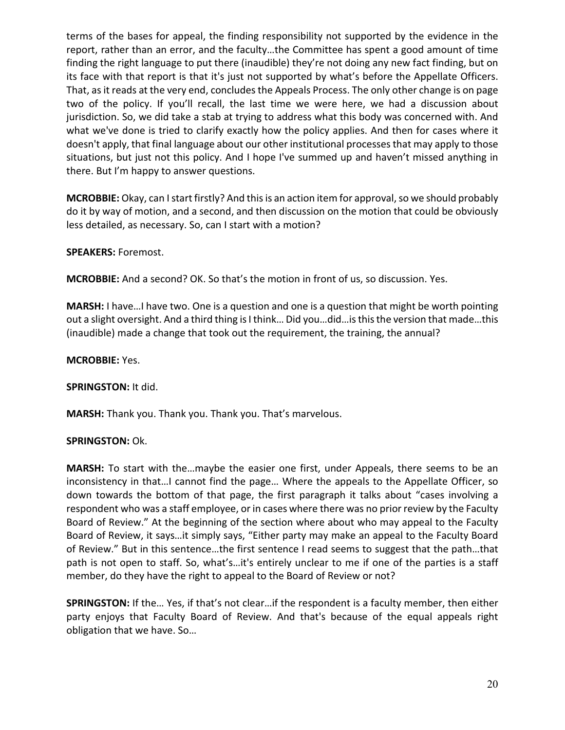terms of the bases for appeal, the finding responsibility not supported by the evidence in the report, rather than an error, and the faculty…the Committee has spent a good amount of time finding the right language to put there (inaudible) they're not doing any new fact finding, but on its face with that report is that it's just not supported by what's before the Appellate Officers. That, as it reads at the very end, concludes the Appeals Process. The only other change is on page two of the policy. If you'll recall, the last time we were here, we had a discussion about jurisdiction. So, we did take a stab at trying to address what this body was concerned with. And what we've done is tried to clarify exactly how the policy applies. And then for cases where it doesn't apply, that final language about our other institutional processesthat may apply to those situations, but just not this policy. And I hope I've summed up and haven't missed anything in there. But I'm happy to answer questions.

**MCROBBIE:** Okay, can I start firstly? And this is an action item for approval, so we should probably do it by way of motion, and a second, and then discussion on the motion that could be obviously less detailed, as necessary. So, can I start with a motion?

**SPEAKERS:** Foremost.

**MCROBBIE:** And a second? OK. So that's the motion in front of us, so discussion. Yes.

**MARSH:** I have…I have two. One is a question and one is a question that might be worth pointing out a slight oversight. And a third thing is I think… Did you…did…is this the version that made…this (inaudible) made a change that took out the requirement, the training, the annual?

**MCROBBIE:** Yes.

**SPRINGSTON:** It did.

**MARSH:** Thank you. Thank you. Thank you. That's marvelous.

## **SPRINGSTON: Ok.**

**MARSH:** To start with the…maybe the easier one first, under Appeals, there seems to be an inconsistency in that…I cannot find the page… Where the appeals to the Appellate Officer, so down towards the bottom of that page, the first paragraph it talks about "cases involving a respondent who was a staff employee, or in cases where there was no prior review by the Faculty Board of Review." At the beginning of the section where about who may appeal to the Faculty Board of Review, it says…it simply says, "Either party may make an appeal to the Faculty Board of Review." But in this sentence…the first sentence I read seems to suggest that the path…that path is not open to staff. So, what's…it's entirely unclear to me if one of the parties is a staff member, do they have the right to appeal to the Board of Review or not?

**SPRINGSTON:** If the… Yes, if that's not clear…if the respondent is a faculty member, then either party enjoys that Faculty Board of Review. And that's because of the equal appeals right obligation that we have. So…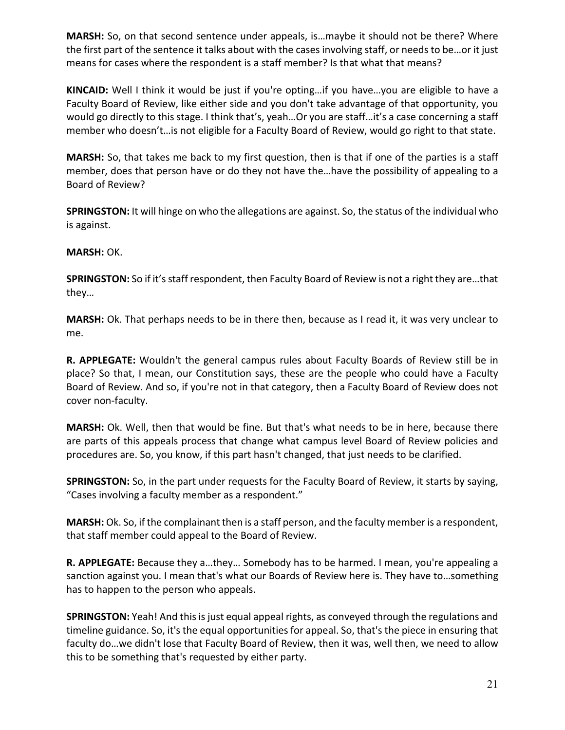**MARSH:** So, on that second sentence under appeals, is…maybe it should not be there? Where the first part of the sentence it talks about with the cases involving staff, or needs to be…or it just means for cases where the respondent is a staff member? Is that what that means?

**KINCAID:** Well I think it would be just if you're opting…if you have…you are eligible to have a Faculty Board of Review, like either side and you don't take advantage of that opportunity, you would go directly to this stage. I think that's, yeah…Or you are staff…it's a case concerning a staff member who doesn't…is not eligible for a Faculty Board of Review, would go right to that state.

**MARSH:** So, that takes me back to my first question, then is that if one of the parties is a staff member, does that person have or do they not have the…have the possibility of appealing to a Board of Review?

**SPRINGSTON:** It will hinge on who the allegations are against. So, the status of the individual who is against.

## **MARSH:** OK.

**SPRINGSTON:** So if it's staff respondent, then Faculty Board of Review is not a right they are…that they…

**MARSH:** Ok. That perhaps needs to be in there then, because as I read it, it was very unclear to me.

**R. APPLEGATE:** Wouldn't the general campus rules about Faculty Boards of Review still be in place? So that, I mean, our Constitution says, these are the people who could have a Faculty Board of Review. And so, if you're not in that category, then a Faculty Board of Review does not cover non-faculty.

**MARSH:** Ok. Well, then that would be fine. But that's what needs to be in here, because there are parts of this appeals process that change what campus level Board of Review policies and procedures are. So, you know, if this part hasn't changed, that just needs to be clarified.

**SPRINGSTON:** So, in the part under requests for the Faculty Board of Review, it starts by saying, "Cases involving a faculty member as a respondent."

**MARSH:** Ok. So, if the complainant then is a staff person, and the faculty member is a respondent, that staff member could appeal to the Board of Review.

**R. APPLEGATE:** Because they a…they… Somebody has to be harmed. I mean, you're appealing a sanction against you. I mean that's what our Boards of Review here is. They have to…something has to happen to the person who appeals.

**SPRINGSTON:** Yeah! And this is just equal appeal rights, as conveyed through the regulations and timeline guidance. So, it's the equal opportunities for appeal. So, that's the piece in ensuring that faculty do…we didn't lose that Faculty Board of Review, then it was, well then, we need to allow this to be something that's requested by either party.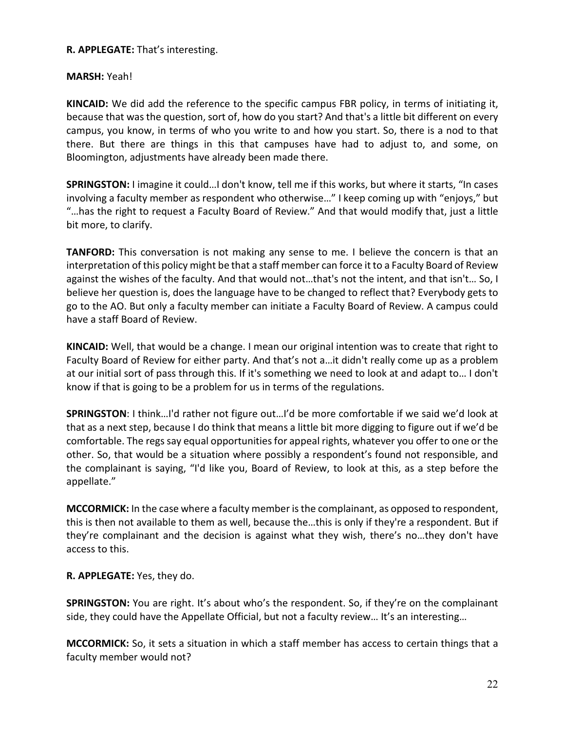## **R. APPLEGATE:** That's interesting.

## **MARSH:** Yeah!

**KINCAID:** We did add the reference to the specific campus FBR policy, in terms of initiating it, because that was the question, sort of, how do you start? And that's a little bit different on every campus, you know, in terms of who you write to and how you start. So, there is a nod to that there. But there are things in this that campuses have had to adjust to, and some, on Bloomington, adjustments have already been made there.

**SPRINGSTON:** I imagine it could…I don't know, tell me if this works, but where it starts, "In cases involving a faculty member as respondent who otherwise…" I keep coming up with "enjoys," but "…has the right to request a Faculty Board of Review." And that would modify that, just a little bit more, to clarify.

**TANFORD:** This conversation is not making any sense to me. I believe the concern is that an interpretation of this policy might be that a staff member can force it to a Faculty Board of Review against the wishes of the faculty. And that would not…that's not the intent, and that isn't… So, I believe her question is, does the language have to be changed to reflect that? Everybody gets to go to the AO. But only a faculty member can initiate a Faculty Board of Review. A campus could have a staff Board of Review.

**KINCAID:** Well, that would be a change. I mean our original intention was to create that right to Faculty Board of Review for either party. And that's not a…it didn't really come up as a problem at our initial sort of pass through this. If it's something we need to look at and adapt to… I don't know if that is going to be a problem for us in terms of the regulations.

**SPRINGSTON**: I think…I'd rather not figure out…I'd be more comfortable if we said we'd look at that as a next step, because I do think that means a little bit more digging to figure out if we'd be comfortable. The regs say equal opportunities for appeal rights, whatever you offer to one or the other. So, that would be a situation where possibly a respondent's found not responsible, and the complainant is saying, "I'd like you, Board of Review, to look at this, as a step before the appellate."

**MCCORMICK:** In the case where a faculty member is the complainant, as opposed to respondent, this is then not available to them as well, because the…this is only if they're a respondent. But if they're complainant and the decision is against what they wish, there's no…they don't have access to this.

**R. APPLEGATE:** Yes, they do.

**SPRINGSTON:** You are right. It's about who's the respondent. So, if they're on the complainant side, they could have the Appellate Official, but not a faculty review… It's an interesting…

**MCCORMICK:** So, it sets a situation in which a staff member has access to certain things that a faculty member would not?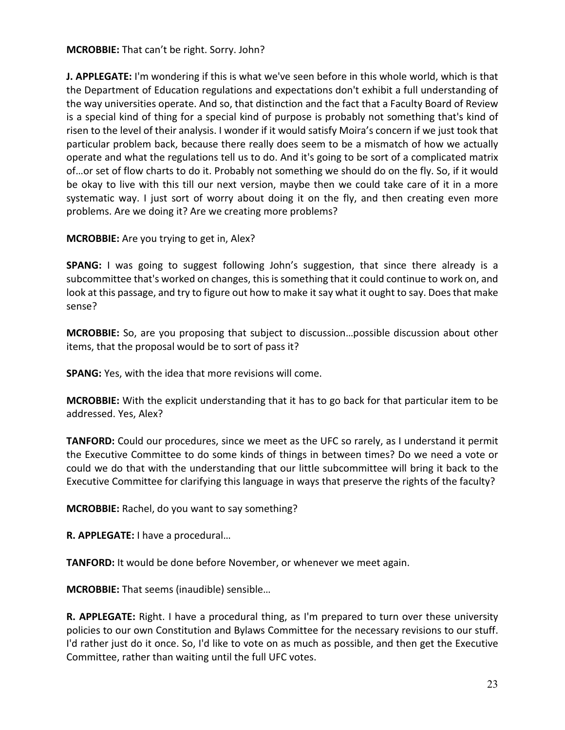### **MCROBBIE:** That can't be right. Sorry. John?

**J. APPLEGATE:** I'm wondering if this is what we've seen before in this whole world, which is that the Department of Education regulations and expectations don't exhibit a full understanding of the way universities operate. And so, that distinction and the fact that a Faculty Board of Review is a special kind of thing for a special kind of purpose is probably not something that's kind of risen to the level of their analysis. I wonder if it would satisfy Moira's concern if we just took that particular problem back, because there really does seem to be a mismatch of how we actually operate and what the regulations tell us to do. And it's going to be sort of a complicated matrix of…or set of flow charts to do it. Probably not something we should do on the fly. So, if it would be okay to live with this till our next version, maybe then we could take care of it in a more systematic way. I just sort of worry about doing it on the fly, and then creating even more problems. Are we doing it? Are we creating more problems?

**MCROBBIE:** Are you trying to get in, Alex?

**SPANG:** I was going to suggest following John's suggestion, that since there already is a subcommittee that's worked on changes, this is something that it could continue to work on, and look at this passage, and try to figure out how to make it say what it ought to say. Does that make sense?

**MCROBBIE:** So, are you proposing that subject to discussion…possible discussion about other items, that the proposal would be to sort of pass it?

**SPANG:** Yes, with the idea that more revisions will come.

**MCROBBIE:** With the explicit understanding that it has to go back for that particular item to be addressed. Yes, Alex?

**TANFORD:** Could our procedures, since we meet as the UFC so rarely, as I understand it permit the Executive Committee to do some kinds of things in between times? Do we need a vote or could we do that with the understanding that our little subcommittee will bring it back to the Executive Committee for clarifying this language in ways that preserve the rights of the faculty?

**MCROBBIE:** Rachel, do you want to say something?

**R. APPLEGATE:** I have a procedural…

**TANFORD:** It would be done before November, or whenever we meet again.

**MCROBBIE:** That seems (inaudible) sensible…

**R. APPLEGATE:** Right. I have a procedural thing, as I'm prepared to turn over these university policies to our own Constitution and Bylaws Committee for the necessary revisions to our stuff. I'd rather just do it once. So, I'd like to vote on as much as possible, and then get the Executive Committee, rather than waiting until the full UFC votes.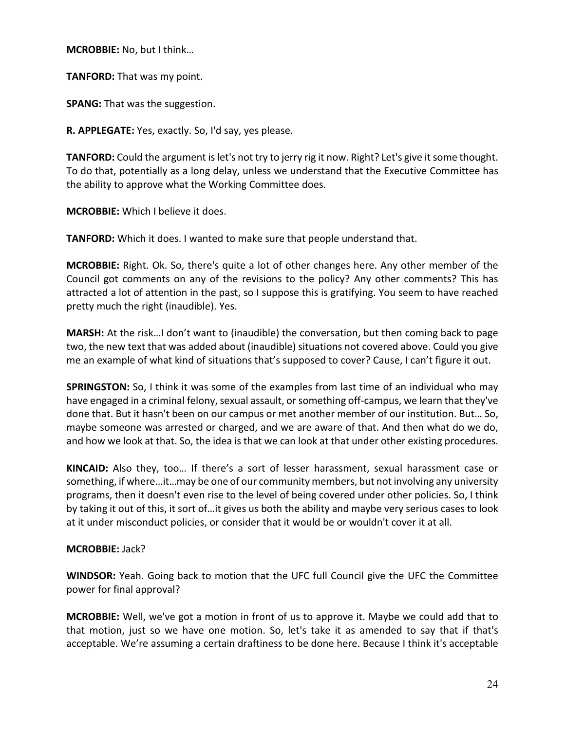**MCROBBIE:** No, but I think…

**TANFORD:** That was my point.

**SPANG:** That was the suggestion.

**R. APPLEGATE:** Yes, exactly. So, I'd say, yes please.

**TANFORD:** Could the argument islet's not try to jerry rig it now. Right? Let's give it some thought. To do that, potentially as a long delay, unless we understand that the Executive Committee has the ability to approve what the Working Committee does.

**MCROBBIE:** Which I believe it does.

**TANFORD:** Which it does. I wanted to make sure that people understand that.

**MCROBBIE:** Right. Ok. So, there's quite a lot of other changes here. Any other member of the Council got comments on any of the revisions to the policy? Any other comments? This has attracted a lot of attention in the past, so I suppose this is gratifying. You seem to have reached pretty much the right (inaudible). Yes.

**MARSH:** At the risk…I don't want to (inaudible) the conversation, but then coming back to page two, the new text that was added about (inaudible) situations not covered above. Could you give me an example of what kind of situations that's supposed to cover? Cause, I can't figure it out.

**SPRINGSTON:** So, I think it was some of the examples from last time of an individual who may have engaged in a criminal felony, sexual assault, or something off-campus, we learn that they've done that. But it hasn't been on our campus or met another member of our institution. But… So, maybe someone was arrested or charged, and we are aware of that. And then what do we do, and how we look at that. So, the idea is that we can look at that under other existing procedures.

**KINCAID:** Also they, too… If there's a sort of lesser harassment, sexual harassment case or something, if where…it…may be one of our community members, but not involving any university programs, then it doesn't even rise to the level of being covered under other policies. So, I think by taking it out of this, it sort of…it gives us both the ability and maybe very serious cases to look at it under misconduct policies, or consider that it would be or wouldn't cover it at all.

### **MCROBBIE:** Jack?

**WINDSOR:** Yeah. Going back to motion that the UFC full Council give the UFC the Committee power for final approval?

**MCROBBIE:** Well, we've got a motion in front of us to approve it. Maybe we could add that to that motion, just so we have one motion. So, let's take it as amended to say that if that's acceptable. We're assuming a certain draftiness to be done here. Because I think it's acceptable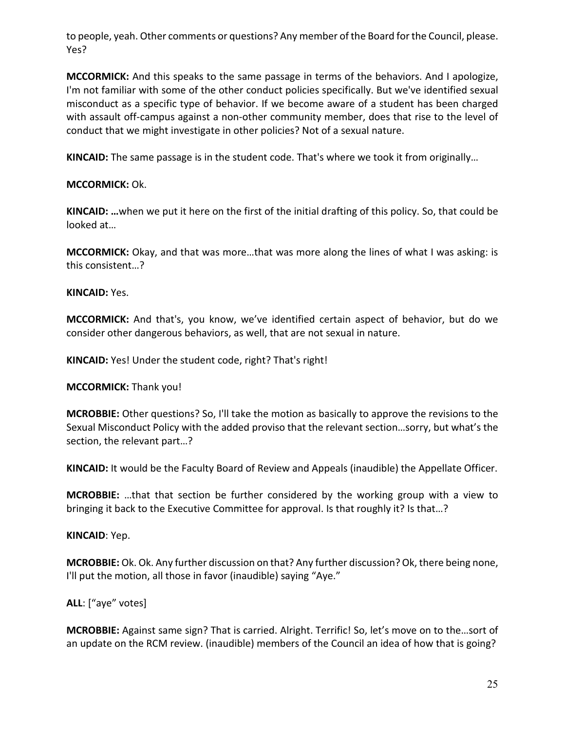to people, yeah. Other comments or questions? Any member of the Board for the Council, please. Yes?

**MCCORMICK:** And this speaks to the same passage in terms of the behaviors. And I apologize, I'm not familiar with some of the other conduct policies specifically. But we've identified sexual misconduct as a specific type of behavior. If we become aware of a student has been charged with assault off-campus against a non-other community member, does that rise to the level of conduct that we might investigate in other policies? Not of a sexual nature.

**KINCAID:** The same passage is in the student code. That's where we took it from originally…

## **MCCORMICK:** Ok.

**KINCAID: …**when we put it here on the first of the initial drafting of this policy. So, that could be looked at…

**MCCORMICK:** Okay, and that was more…that was more along the lines of what I was asking: is this consistent…?

### **KINCAID:** Yes.

**MCCORMICK:** And that's, you know, we've identified certain aspect of behavior, but do we consider other dangerous behaviors, as well, that are not sexual in nature.

**KINCAID:** Yes! Under the student code, right? That's right!

**MCCORMICK:** Thank you!

**MCROBBIE:** Other questions? So, I'll take the motion as basically to approve the revisions to the Sexual Misconduct Policy with the added proviso that the relevant section…sorry, but what's the section, the relevant part…?

**KINCAID:** It would be the Faculty Board of Review and Appeals (inaudible) the Appellate Officer.

**MCROBBIE:** …that that section be further considered by the working group with a view to bringing it back to the Executive Committee for approval. Is that roughly it? Is that…?

### **KINCAID**: Yep.

**MCROBBIE:** Ok. Ok. Any further discussion on that? Any further discussion? Ok, there being none, I'll put the motion, all those in favor (inaudible) saying "Aye."

## **ALL**: ["aye" votes]

**MCROBBIE:** Against same sign? That is carried. Alright. Terrific! So, let's move on to the…sort of an update on the RCM review. (inaudible) members of the Council an idea of how that is going?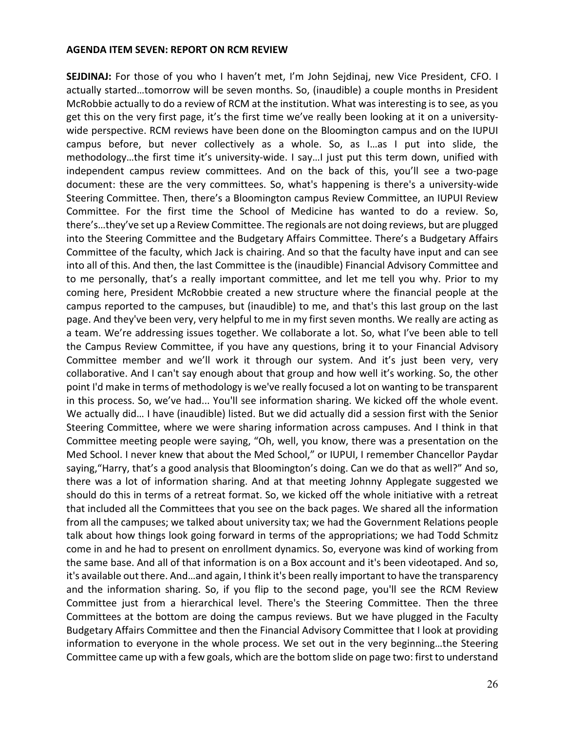#### **AGENDA ITEM SEVEN: REPORT ON RCM REVIEW**

**SEJDINAJ:** For those of you who I haven't met, I'm John Sejdinaj, new Vice President, CFO. I actually started…tomorrow will be seven months. So, (inaudible) a couple months in President McRobbie actually to do a review of RCM at the institution. What was interesting is to see, as you get this on the very first page, it's the first time we've really been looking at it on a universitywide perspective. RCM reviews have been done on the Bloomington campus and on the IUPUI campus before, but never collectively as a whole. So, as I…as I put into slide, the methodology…the first time it's university-wide. I say…I just put this term down, unified with independent campus review committees. And on the back of this, you'll see a two-page document: these are the very committees. So, what's happening is there's a university-wide Steering Committee. Then, there's a Bloomington campus Review Committee, an IUPUI Review Committee. For the first time the School of Medicine has wanted to do a review. So, there's…they've set up a Review Committee. The regionals are not doing reviews, but are plugged into the Steering Committee and the Budgetary Affairs Committee. There's a Budgetary Affairs Committee of the faculty, which Jack is chairing. And so that the faculty have input and can see into all of this. And then, the last Committee is the (inaudible) Financial Advisory Committee and to me personally, that's a really important committee, and let me tell you why. Prior to my coming here, President McRobbie created a new structure where the financial people at the campus reported to the campuses, but (inaudible) to me, and that's this last group on the last page. And they've been very, very helpful to me in my first seven months. We really are acting as a team. We're addressing issues together. We collaborate a lot. So, what I've been able to tell the Campus Review Committee, if you have any questions, bring it to your Financial Advisory Committee member and we'll work it through our system. And it's just been very, very collaborative. And I can't say enough about that group and how well it's working. So, the other point I'd make in terms of methodology is we've really focused a lot on wanting to be transparent in this process. So, we've had... You'll see information sharing. We kicked off the whole event. We actually did… I have (inaudible) listed. But we did actually did a session first with the Senior Steering Committee, where we were sharing information across campuses. And I think in that Committee meeting people were saying, "Oh, well, you know, there was a presentation on the Med School. I never knew that about the Med School," or IUPUI, I remember Chancellor Paydar saying,"Harry, that's a good analysis that Bloomington's doing. Can we do that as well?" And so, there was a lot of information sharing. And at that meeting Johnny Applegate suggested we should do this in terms of a retreat format. So, we kicked off the whole initiative with a retreat that included all the Committees that you see on the back pages. We shared all the information from all the campuses; we talked about university tax; we had the Government Relations people talk about how things look going forward in terms of the appropriations; we had Todd Schmitz come in and he had to present on enrollment dynamics. So, everyone was kind of working from the same base. And all of that information is on a Box account and it's been videotaped. And so, it's available out there. And…and again, I think it's been really important to have the transparency and the information sharing. So, if you flip to the second page, you'll see the RCM Review Committee just from a hierarchical level. There's the Steering Committee. Then the three Committees at the bottom are doing the campus reviews. But we have plugged in the Faculty Budgetary Affairs Committee and then the Financial Advisory Committee that I look at providing information to everyone in the whole process. We set out in the very beginning…the Steering Committee came up with a few goals, which are the bottom slide on page two: first to understand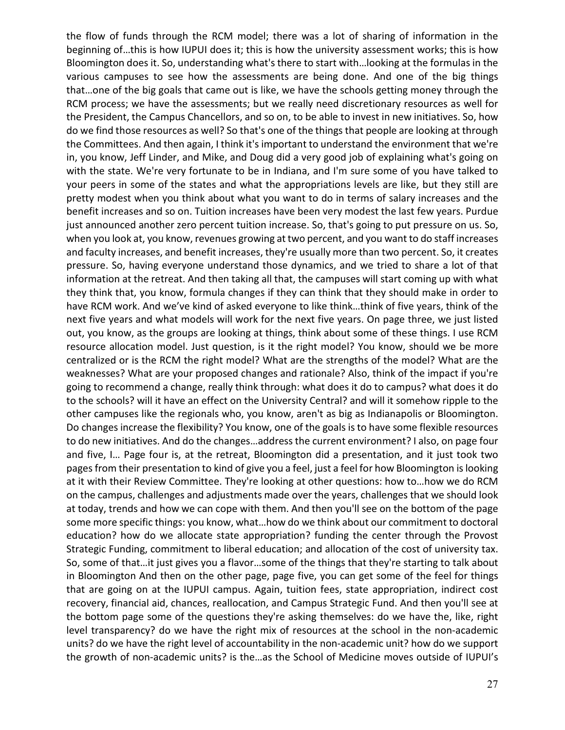the flow of funds through the RCM model; there was a lot of sharing of information in the beginning of…this is how IUPUI does it; this is how the university assessment works; this is how Bloomington does it. So, understanding what's there to start with…looking at the formulas in the various campuses to see how the assessments are being done. And one of the big things that…one of the big goals that came out is like, we have the schools getting money through the RCM process; we have the assessments; but we really need discretionary resources as well for the President, the Campus Chancellors, and so on, to be able to invest in new initiatives. So, how do we find those resources as well? So that's one of the things that people are looking at through the Committees. And then again, I think it's important to understand the environment that we're in, you know, Jeff Linder, and Mike, and Doug did a very good job of explaining what's going on with the state. We're very fortunate to be in Indiana, and I'm sure some of you have talked to your peers in some of the states and what the appropriations levels are like, but they still are pretty modest when you think about what you want to do in terms of salary increases and the benefit increases and so on. Tuition increases have been very modest the last few years. Purdue just announced another zero percent tuition increase. So, that's going to put pressure on us. So, when you look at, you know, revenues growing at two percent, and you want to do staff increases and faculty increases, and benefit increases, they're usually more than two percent. So, it creates pressure. So, having everyone understand those dynamics, and we tried to share a lot of that information at the retreat. And then taking all that, the campuses will start coming up with what they think that, you know, formula changes if they can think that they should make in order to have RCM work. And we've kind of asked everyone to like think…think of five years, think of the next five years and what models will work for the next five years. On page three, we just listed out, you know, as the groups are looking at things, think about some of these things. I use RCM resource allocation model. Just question, is it the right model? You know, should we be more centralized or is the RCM the right model? What are the strengths of the model? What are the weaknesses? What are your proposed changes and rationale? Also, think of the impact if you're going to recommend a change, really think through: what does it do to campus? what does it do to the schools? will it have an effect on the University Central? and will it somehow ripple to the other campuses like the regionals who, you know, aren't as big as Indianapolis or Bloomington. Do changes increase the flexibility? You know, one of the goals is to have some flexible resources to do new initiatives. And do the changes…address the current environment? I also, on page four and five, I… Page four is, at the retreat, Bloomington did a presentation, and it just took two pages from their presentation to kind of give you a feel, just a feel for how Bloomington is looking at it with their Review Committee. They're looking at other questions: how to…how we do RCM on the campus, challenges and adjustments made over the years, challenges that we should look at today, trends and how we can cope with them. And then you'll see on the bottom of the page some more specific things: you know, what…how do we think about our commitment to doctoral education? how do we allocate state appropriation? funding the center through the Provost Strategic Funding, commitment to liberal education; and allocation of the cost of university tax. So, some of that…it just gives you a flavor…some of the things that they're starting to talk about in Bloomington And then on the other page, page five, you can get some of the feel for things that are going on at the IUPUI campus. Again, tuition fees, state appropriation, indirect cost recovery, financial aid, chances, reallocation, and Campus Strategic Fund. And then you'll see at the bottom page some of the questions they're asking themselves: do we have the, like, right level transparency? do we have the right mix of resources at the school in the non-academic units? do we have the right level of accountability in the non-academic unit? how do we support the growth of non-academic units? is the…as the School of Medicine moves outside of IUPUI's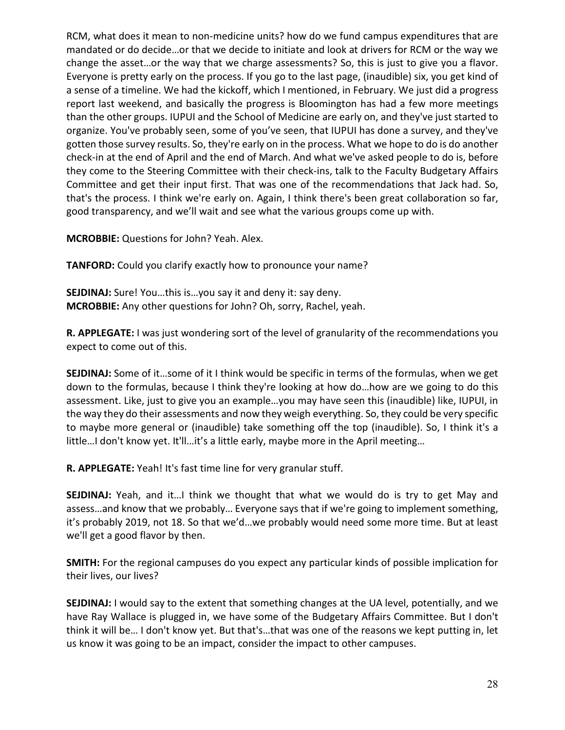RCM, what does it mean to non-medicine units? how do we fund campus expenditures that are mandated or do decide…or that we decide to initiate and look at drivers for RCM or the way we change the asset…or the way that we charge assessments? So, this is just to give you a flavor. Everyone is pretty early on the process. If you go to the last page, (inaudible) six, you get kind of a sense of a timeline. We had the kickoff, which I mentioned, in February. We just did a progress report last weekend, and basically the progress is Bloomington has had a few more meetings than the other groups. IUPUI and the School of Medicine are early on, and they've just started to organize. You've probably seen, some of you've seen, that IUPUI has done a survey, and they've gotten those survey results. So, they're early on in the process. What we hope to do is do another check-in at the end of April and the end of March. And what we've asked people to do is, before they come to the Steering Committee with their check-ins, talk to the Faculty Budgetary Affairs Committee and get their input first. That was one of the recommendations that Jack had. So, that's the process. I think we're early on. Again, I think there's been great collaboration so far, good transparency, and we'll wait and see what the various groups come up with.

**MCROBBIE:** Questions for John? Yeah. Alex.

**TANFORD:** Could you clarify exactly how to pronounce your name?

**SEJDINAJ:** Sure! You…this is…you say it and deny it: say deny. **MCROBBIE:** Any other questions for John? Oh, sorry, Rachel, yeah.

**R. APPLEGATE:** I was just wondering sort of the level of granularity of the recommendations you expect to come out of this.

**SEJDINAJ:** Some of it…some of it I think would be specific in terms of the formulas, when we get down to the formulas, because I think they're looking at how do…how are we going to do this assessment. Like, just to give you an example…you may have seen this (inaudible) like, IUPUI, in the way they do their assessments and now they weigh everything. So, they could be very specific to maybe more general or (inaudible) take something off the top (inaudible). So, I think it's a little…I don't know yet. It'll…it's a little early, maybe more in the April meeting…

**R. APPLEGATE:** Yeah! It's fast time line for very granular stuff.

**SEJDINAJ:** Yeah, and it…I think we thought that what we would do is try to get May and assess…and know that we probably… Everyone says that if we're going to implement something, it's probably 2019, not 18. So that we'd…we probably would need some more time. But at least we'll get a good flavor by then.

**SMITH:** For the regional campuses do you expect any particular kinds of possible implication for their lives, our lives?

**SEJDINAJ:** I would say to the extent that something changes at the UA level, potentially, and we have Ray Wallace is plugged in, we have some of the Budgetary Affairs Committee. But I don't think it will be… I don't know yet. But that's…that was one of the reasons we kept putting in, let us know it was going to be an impact, consider the impact to other campuses.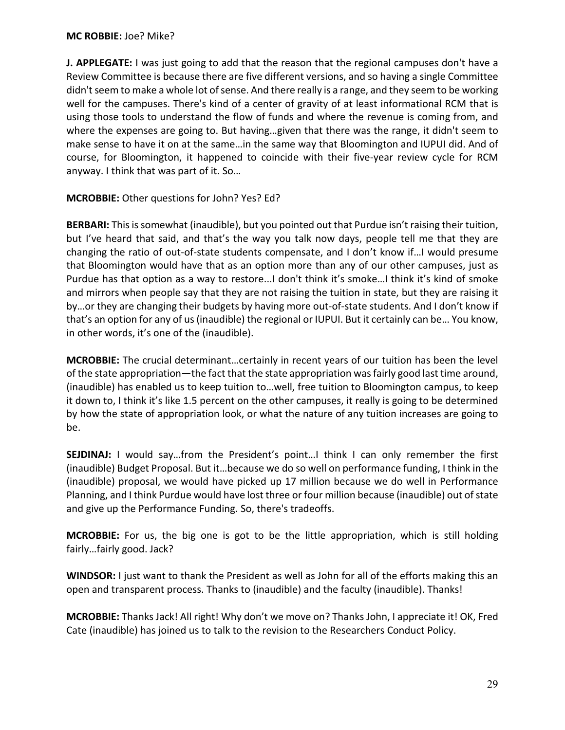#### **MC ROBBIE:** Joe? Mike?

**J. APPLEGATE:** I was just going to add that the reason that the regional campuses don't have a Review Committee is because there are five different versions, and so having a single Committee didn't seem to make a whole lot of sense. And there really is a range, and they seem to be working well for the campuses. There's kind of a center of gravity of at least informational RCM that is using those tools to understand the flow of funds and where the revenue is coming from, and where the expenses are going to. But having…given that there was the range, it didn't seem to make sense to have it on at the same…in the same way that Bloomington and IUPUI did. And of course, for Bloomington, it happened to coincide with their five-year review cycle for RCM anyway. I think that was part of it. So…

**MCROBBIE:** Other questions for John? Yes? Ed?

**BERBARI:** Thisis somewhat (inaudible), but you pointed out that Purdue isn't raising their tuition, but I've heard that said, and that's the way you talk now days, people tell me that they are changing the ratio of out-of-state students compensate, and I don't know if…I would presume that Bloomington would have that as an option more than any of our other campuses, just as Purdue has that option as a way to restore...I don't think it's smoke…I think it's kind of smoke and mirrors when people say that they are not raising the tuition in state, but they are raising it by…or they are changing their budgets by having more out-of-state students. And I don't know if that's an option for any of us (inaudible) the regional or IUPUI. But it certainly can be… You know, in other words, it's one of the (inaudible).

**MCROBBIE:** The crucial determinant…certainly in recent years of our tuition has been the level of the state appropriation—the fact that the state appropriation was fairly good last time around, (inaudible) has enabled us to keep tuition to…well, free tuition to Bloomington campus, to keep it down to, I think it's like 1.5 percent on the other campuses, it really is going to be determined by how the state of appropriation look, or what the nature of any tuition increases are going to be.

**SEJDINAJ:** I would say…from the President's point…I think I can only remember the first (inaudible) Budget Proposal. But it…because we do so well on performance funding, I think in the (inaudible) proposal, we would have picked up 17 million because we do well in Performance Planning, and I think Purdue would have lost three or four million because (inaudible) out of state and give up the Performance Funding. So, there's tradeoffs.

**MCROBBIE:** For us, the big one is got to be the little appropriation, which is still holding fairly…fairly good. Jack?

**WINDSOR:** I just want to thank the President as well as John for all of the efforts making this an open and transparent process. Thanks to (inaudible) and the faculty (inaudible). Thanks!

**MCROBBIE:** Thanks Jack! All right! Why don't we move on? Thanks John, I appreciate it! OK, Fred Cate (inaudible) has joined us to talk to the revision to the Researchers Conduct Policy.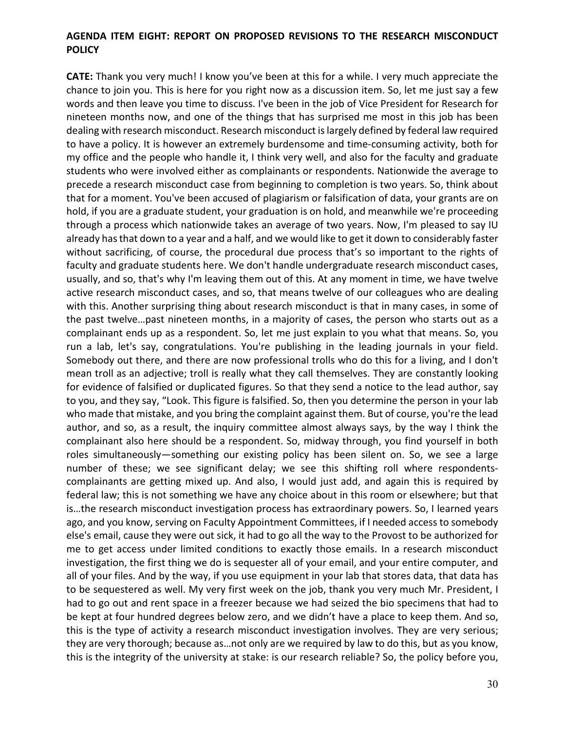### **AGENDA ITEM EIGHT: REPORT ON PROPOSED REVISIONS TO THE RESEARCH MISCONDUCT POLICY**

**CATE:** Thank you very much! I know you've been at this for a while. I very much appreciate the chance to join you. This is here for you right now as a discussion item. So, let me just say a few words and then leave you time to discuss. I've been in the job of Vice President for Research for nineteen months now, and one of the things that has surprised me most in this job has been dealing with research misconduct. Research misconduct is largely defined by federal law required to have a policy. It is however an extremely burdensome and time-consuming activity, both for my office and the people who handle it, I think very well, and also for the faculty and graduate students who were involved either as complainants or respondents. Nationwide the average to precede a research misconduct case from beginning to completion is two years. So, think about that for a moment. You've been accused of plagiarism or falsification of data, your grants are on hold, if you are a graduate student, your graduation is on hold, and meanwhile we're proceeding through a process which nationwide takes an average of two years. Now, I'm pleased to say IU already has that down to a year and a half, and we would like to get it down to considerably faster without sacrificing, of course, the procedural due process that's so important to the rights of faculty and graduate students here. We don't handle undergraduate research misconduct cases, usually, and so, that's why I'm leaving them out of this. At any moment in time, we have twelve active research misconduct cases, and so, that means twelve of our colleagues who are dealing with this. Another surprising thing about research misconduct is that in many cases, in some of the past twelve…past nineteen months, in a majority of cases, the person who starts out as a complainant ends up as a respondent. So, let me just explain to you what that means. So, you run a lab, let's say, congratulations. You're publishing in the leading journals in your field. Somebody out there, and there are now professional trolls who do this for a living, and I don't mean troll as an adjective; troll is really what they call themselves. They are constantly looking for evidence of falsified or duplicated figures. So that they send a notice to the lead author, say to you, and they say, "Look. This figure is falsified. So, then you determine the person in your lab who made that mistake, and you bring the complaint against them. But of course, you're the lead author, and so, as a result, the inquiry committee almost always says, by the way I think the complainant also here should be a respondent. So, midway through, you find yourself in both roles simultaneously—something our existing policy has been silent on. So, we see a large number of these; we see significant delay; we see this shifting roll where respondentscomplainants are getting mixed up. And also, I would just add, and again this is required by federal law; this is not something we have any choice about in this room or elsewhere; but that is…the research misconduct investigation process has extraordinary powers. So, I learned years ago, and you know, serving on Faculty Appointment Committees, if I needed access to somebody else's email, cause they were out sick, it had to go all the way to the Provost to be authorized for me to get access under limited conditions to exactly those emails. In a research misconduct investigation, the first thing we do is sequester all of your email, and your entire computer, and all of your files. And by the way, if you use equipment in your lab that stores data, that data has to be sequestered as well. My very first week on the job, thank you very much Mr. President, I had to go out and rent space in a freezer because we had seized the bio specimens that had to be kept at four hundred degrees below zero, and we didn't have a place to keep them. And so, this is the type of activity a research misconduct investigation involves. They are very serious; they are very thorough; because as…not only are we required by law to do this, but as you know, this is the integrity of the university at stake: is our research reliable? So, the policy before you,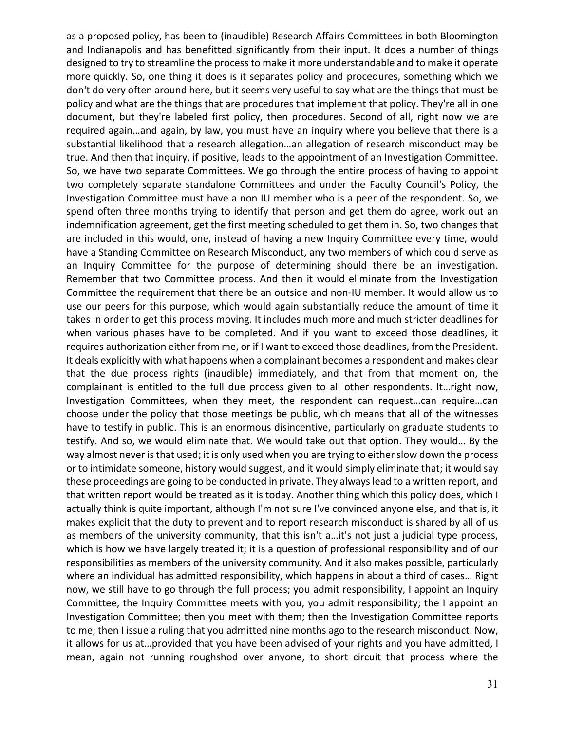as a proposed policy, has been to (inaudible) Research Affairs Committees in both Bloomington and Indianapolis and has benefitted significantly from their input. It does a number of things designed to try to streamline the processto make it more understandable and to make it operate more quickly. So, one thing it does is it separates policy and procedures, something which we don't do very often around here, but it seems very useful to say what are the things that must be policy and what are the things that are procedures that implement that policy. They're all in one document, but they're labeled first policy, then procedures. Second of all, right now we are required again…and again, by law, you must have an inquiry where you believe that there is a substantial likelihood that a research allegation…an allegation of research misconduct may be true. And then that inquiry, if positive, leads to the appointment of an Investigation Committee. So, we have two separate Committees. We go through the entire process of having to appoint two completely separate standalone Committees and under the Faculty Council's Policy, the Investigation Committee must have a non IU member who is a peer of the respondent. So, we spend often three months trying to identify that person and get them do agree, work out an indemnification agreement, get the first meeting scheduled to get them in. So, two changes that are included in this would, one, instead of having a new Inquiry Committee every time, would have a Standing Committee on Research Misconduct, any two members of which could serve as an Inquiry Committee for the purpose of determining should there be an investigation. Remember that two Committee process. And then it would eliminate from the Investigation Committee the requirement that there be an outside and non-IU member. It would allow us to use our peers for this purpose, which would again substantially reduce the amount of time it takes in order to get this process moving. It includes much more and much stricter deadlines for when various phases have to be completed. And if you want to exceed those deadlines, it requires authorization either from me, or if I want to exceed those deadlines, from the President. It deals explicitly with what happens when a complainant becomes a respondent and makes clear that the due process rights (inaudible) immediately, and that from that moment on, the complainant is entitled to the full due process given to all other respondents. It…right now, Investigation Committees, when they meet, the respondent can request…can require…can choose under the policy that those meetings be public, which means that all of the witnesses have to testify in public. This is an enormous disincentive, particularly on graduate students to testify. And so, we would eliminate that. We would take out that option. They would… By the way almost never is that used; it is only used when you are trying to either slow down the process or to intimidate someone, history would suggest, and it would simply eliminate that; it would say these proceedings are going to be conducted in private. They always lead to a written report, and that written report would be treated as it is today. Another thing which this policy does, which I actually think is quite important, although I'm not sure I've convinced anyone else, and that is, it makes explicit that the duty to prevent and to report research misconduct is shared by all of us as members of the university community, that this isn't a…it's not just a judicial type process, which is how we have largely treated it; it is a question of professional responsibility and of our responsibilities as members of the university community. And it also makes possible, particularly where an individual has admitted responsibility, which happens in about a third of cases… Right now, we still have to go through the full process; you admit responsibility, I appoint an Inquiry Committee, the Inquiry Committee meets with you, you admit responsibility; the I appoint an Investigation Committee; then you meet with them; then the Investigation Committee reports to me; then I issue a ruling that you admitted nine months ago to the research misconduct. Now, it allows for us at…provided that you have been advised of your rights and you have admitted, I mean, again not running roughshod over anyone, to short circuit that process where the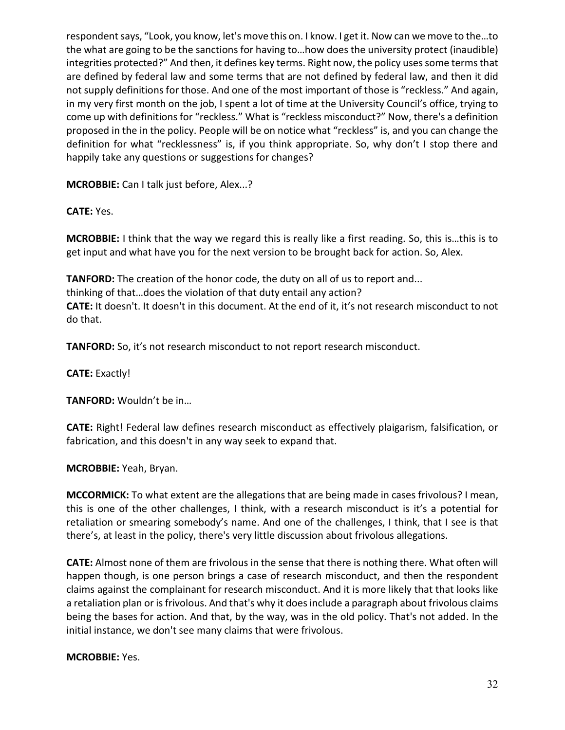respondent says, "Look, you know, let's move this on. I know. I get it. Now can we move to the…to the what are going to be the sanctions for having to…how does the university protect (inaudible) integrities protected?" And then, it defines key terms. Right now, the policy uses some terms that are defined by federal law and some terms that are not defined by federal law, and then it did not supply definitions for those. And one of the most important of those is "reckless." And again, in my very first month on the job, I spent a lot of time at the University Council's office, trying to come up with definitions for "reckless." What is "reckless misconduct?" Now, there's a definition proposed in the in the policy. People will be on notice what "reckless" is, and you can change the definition for what "recklessness" is, if you think appropriate. So, why don't I stop there and happily take any questions or suggestions for changes?

**MCROBBIE:** Can I talk just before, Alex...?

**CATE:** Yes.

**MCROBBIE:** I think that the way we regard this is really like a first reading. So, this is…this is to get input and what have you for the next version to be brought back for action. So, Alex.

**TANFORD:** The creation of the honor code, the duty on all of us to report and... thinking of that…does the violation of that duty entail any action? **CATE:** It doesn't. It doesn't in this document. At the end of it, it's not research misconduct to not do that.

**TANFORD:** So, it's not research misconduct to not report research misconduct.

**CATE:** Exactly!

**TANFORD:** Wouldn't be in…

**CATE:** Right! Federal law defines research misconduct as effectively plaigarism, falsification, or fabrication, and this doesn't in any way seek to expand that.

**MCROBBIE:** Yeah, Bryan.

**MCCORMICK:** To what extent are the allegations that are being made in cases frivolous? I mean, this is one of the other challenges, I think, with a research misconduct is it's a potential for retaliation or smearing somebody's name. And one of the challenges, I think, that I see is that there's, at least in the policy, there's very little discussion about frivolous allegations.

**CATE:** Almost none of them are frivolous in the sense that there is nothing there. What often will happen though, is one person brings a case of research misconduct, and then the respondent claims against the complainant for research misconduct. And it is more likely that that looks like a retaliation plan or is frivolous. And that's why it does include a paragraph about frivolous claims being the bases for action. And that, by the way, was in the old policy. That's not added. In the initial instance, we don't see many claims that were frivolous.

**MCROBBIE:** Yes.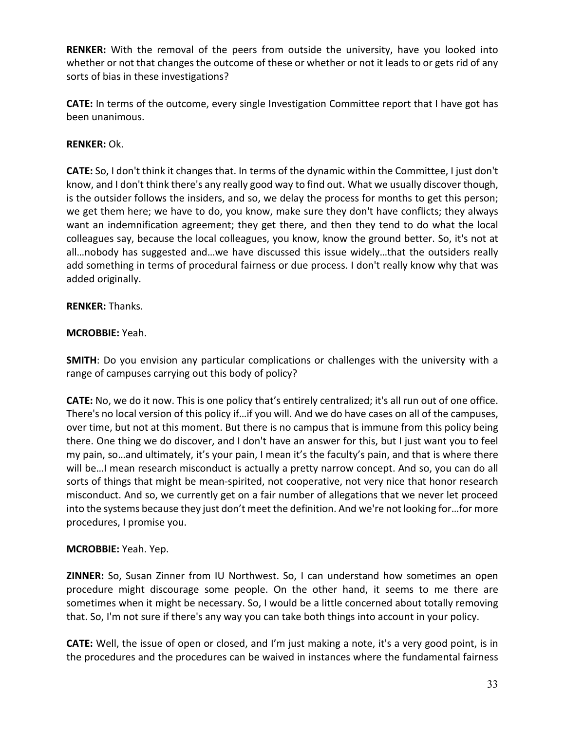**RENKER:** With the removal of the peers from outside the university, have you looked into whether or not that changes the outcome of these or whether or not it leads to or gets rid of any sorts of bias in these investigations?

**CATE:** In terms of the outcome, every single Investigation Committee report that I have got has been unanimous.

# **RENKER:** Ok.

**CATE:** So, I don't think it changes that. In terms of the dynamic within the Committee, I just don't know, and I don't think there's any really good way to find out. What we usually discover though, is the outsider follows the insiders, and so, we delay the process for months to get this person; we get them here; we have to do, you know, make sure they don't have conflicts; they always want an indemnification agreement; they get there, and then they tend to do what the local colleagues say, because the local colleagues, you know, know the ground better. So, it's not at all…nobody has suggested and…we have discussed this issue widely…that the outsiders really add something in terms of procedural fairness or due process. I don't really know why that was added originally.

## **RENKER:** Thanks.

## **MCROBBIE:** Yeah.

**SMITH**: Do you envision any particular complications or challenges with the university with a range of campuses carrying out this body of policy?

**CATE:** No, we do it now. This is one policy that's entirely centralized; it's all run out of one office. There's no local version of this policy if…if you will. And we do have cases on all of the campuses, over time, but not at this moment. But there is no campus that is immune from this policy being there. One thing we do discover, and I don't have an answer for this, but I just want you to feel my pain, so…and ultimately, it's your pain, I mean it's the faculty's pain, and that is where there will be…I mean research misconduct is actually a pretty narrow concept. And so, you can do all sorts of things that might be mean-spirited, not cooperative, not very nice that honor research misconduct. And so, we currently get on a fair number of allegations that we never let proceed into the systems because they just don't meet the definition. And we're not looking for…for more procedures, I promise you.

## **MCROBBIE:** Yeah. Yep.

**ZINNER:** So, Susan Zinner from IU Northwest. So, I can understand how sometimes an open procedure might discourage some people. On the other hand, it seems to me there are sometimes when it might be necessary. So, I would be a little concerned about totally removing that. So, I'm not sure if there's any way you can take both things into account in your policy.

**CATE:** Well, the issue of open or closed, and I'm just making a note, it's a very good point, is in the procedures and the procedures can be waived in instances where the fundamental fairness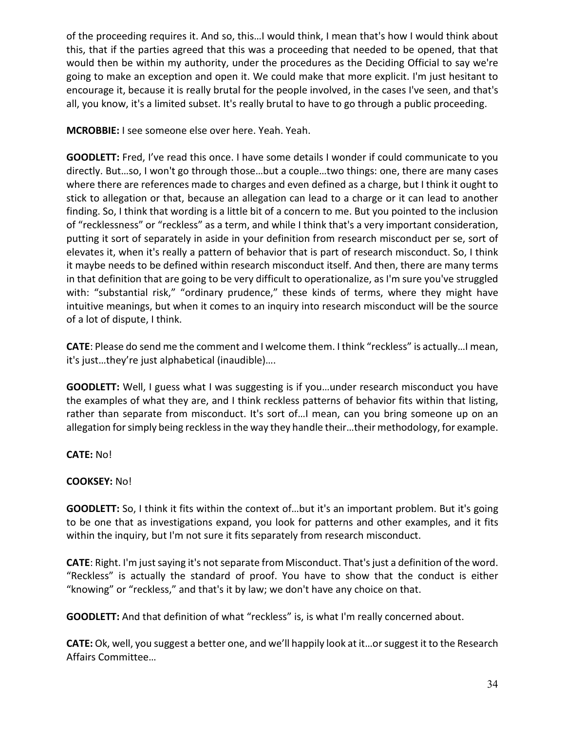of the proceeding requires it. And so, this…I would think, I mean that's how I would think about this, that if the parties agreed that this was a proceeding that needed to be opened, that that would then be within my authority, under the procedures as the Deciding Official to say we're going to make an exception and open it. We could make that more explicit. I'm just hesitant to encourage it, because it is really brutal for the people involved, in the cases I've seen, and that's all, you know, it's a limited subset. It's really brutal to have to go through a public proceeding.

**MCROBBIE:** I see someone else over here. Yeah. Yeah.

**GOODLETT:** Fred, I've read this once. I have some details I wonder if could communicate to you directly. But…so, I won't go through those…but a couple…two things: one, there are many cases where there are references made to charges and even defined as a charge, but I think it ought to stick to allegation or that, because an allegation can lead to a charge or it can lead to another finding. So, I think that wording is a little bit of a concern to me. But you pointed to the inclusion of "recklessness" or "reckless" as a term, and while I think that's a very important consideration, putting it sort of separately in aside in your definition from research misconduct per se, sort of elevates it, when it's really a pattern of behavior that is part of research misconduct. So, I think it maybe needs to be defined within research misconduct itself. And then, there are many terms in that definition that are going to be very difficult to operationalize, as I'm sure you've struggled with: "substantial risk," "ordinary prudence," these kinds of terms, where they might have intuitive meanings, but when it comes to an inquiry into research misconduct will be the source of a lot of dispute, I think.

**CATE**: Please do send me the comment and I welcome them. I think "reckless" is actually…I mean, it's just…they're just alphabetical (inaudible)….

**GOODLETT:** Well, I guess what I was suggesting is if you…under research misconduct you have the examples of what they are, and I think reckless patterns of behavior fits within that listing, rather than separate from misconduct. It's sort of…I mean, can you bring someone up on an allegation for simply being reckless in the way they handle their…their methodology, for example.

**CATE:** No!

## **COOKSEY:** No!

**GOODLETT:** So, I think it fits within the context of…but it's an important problem. But it's going to be one that as investigations expand, you look for patterns and other examples, and it fits within the inquiry, but I'm not sure it fits separately from research misconduct.

CATE: Right. I'm just saying it's not separate from Misconduct. That's just a definition of the word. "Reckless" is actually the standard of proof. You have to show that the conduct is either "knowing" or "reckless," and that's it by law; we don't have any choice on that.

**GOODLETT:** And that definition of what "reckless" is, is what I'm really concerned about.

**CATE:** Ok, well, you suggest a better one, and we'll happily look at it…or suggest it to the Research Affairs Committee…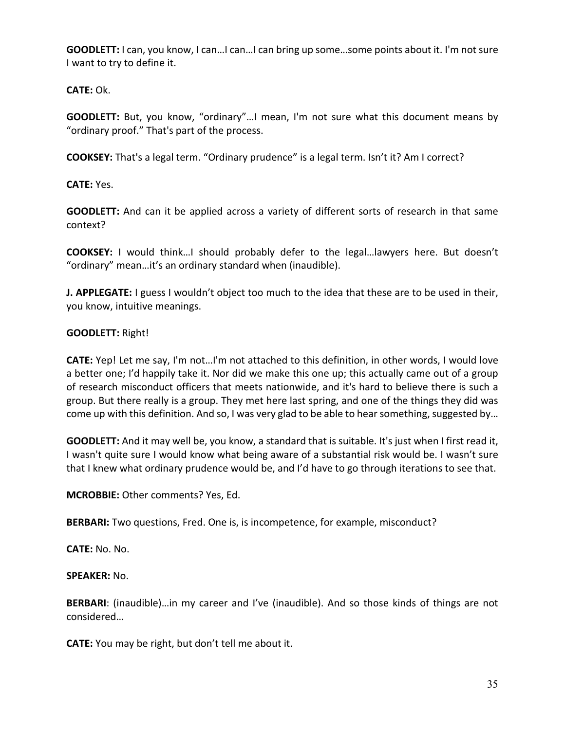**GOODLETT:** I can, you know, I can…I can…I can bring up some…some points about it. I'm not sure I want to try to define it.

**CATE:** Ok.

**GOODLETT:** But, you know, "ordinary"…I mean, I'm not sure what this document means by "ordinary proof." That's part of the process.

**COOKSEY:** That's a legal term. "Ordinary prudence" is a legal term. Isn't it? Am I correct?

**CATE:** Yes.

**GOODLETT:** And can it be applied across a variety of different sorts of research in that same context?

**COOKSEY:** I would think…I should probably defer to the legal…lawyers here. But doesn't "ordinary" mean…it's an ordinary standard when (inaudible).

**J. APPLEGATE:** I guess I wouldn't object too much to the idea that these are to be used in their, you know, intuitive meanings.

## **GOODLETT:** Right!

**CATE:** Yep! Let me say, I'm not…I'm not attached to this definition, in other words, I would love a better one; I'd happily take it. Nor did we make this one up; this actually came out of a group of research misconduct officers that meets nationwide, and it's hard to believe there is such a group. But there really is a group. They met here last spring, and one of the things they did was come up with this definition. And so, I was very glad to be able to hear something, suggested by…

**GOODLETT:** And it may well be, you know, a standard that is suitable. It's just when I first read it, I wasn't quite sure I would know what being aware of a substantial risk would be. I wasn't sure that I knew what ordinary prudence would be, and I'd have to go through iterations to see that.

**MCROBBIE:** Other comments? Yes, Ed.

**BERBARI:** Two questions, Fred. One is, is incompetence, for example, misconduct?

**CATE:** No. No.

**SPEAKER:** No.

**BERBARI**: (inaudible)…in my career and I've (inaudible). And so those kinds of things are not considered…

**CATE:** You may be right, but don't tell me about it.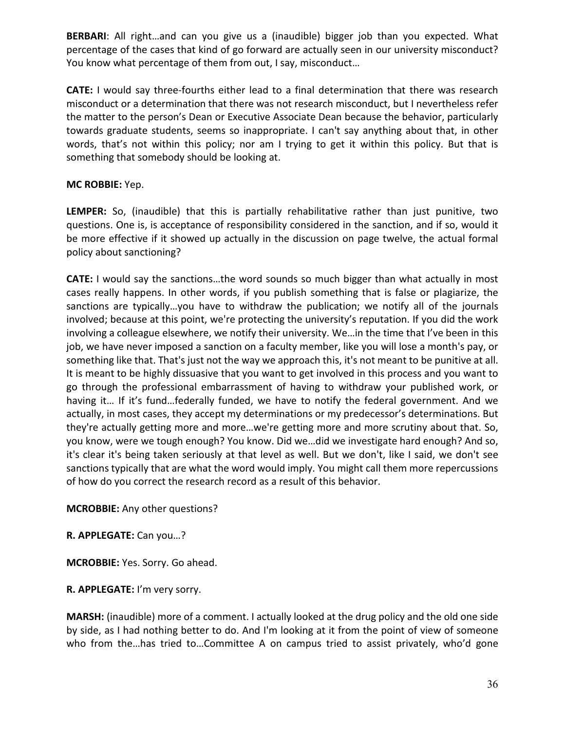**BERBARI**: All right…and can you give us a (inaudible) bigger job than you expected. What percentage of the cases that kind of go forward are actually seen in our university misconduct? You know what percentage of them from out, I say, misconduct…

**CATE:** I would say three-fourths either lead to a final determination that there was research misconduct or a determination that there was not research misconduct, but I nevertheless refer the matter to the person's Dean or Executive Associate Dean because the behavior, particularly towards graduate students, seems so inappropriate. I can't say anything about that, in other words, that's not within this policy; nor am I trying to get it within this policy. But that is something that somebody should be looking at.

## **MC ROBBIE:** Yep.

**LEMPER:** So, (inaudible) that this is partially rehabilitative rather than just punitive, two questions. One is, is acceptance of responsibility considered in the sanction, and if so, would it be more effective if it showed up actually in the discussion on page twelve, the actual formal policy about sanctioning?

**CATE:** I would say the sanctions...the word sounds so much bigger than what actually in most cases really happens. In other words, if you publish something that is false or plagiarize, the sanctions are typically…you have to withdraw the publication; we notify all of the journals involved; because at this point, we're protecting the university's reputation. If you did the work involving a colleague elsewhere, we notify their university. We…in the time that I've been in this job, we have never imposed a sanction on a faculty member, like you will lose a month's pay, or something like that. That's just not the way we approach this, it's not meant to be punitive at all. It is meant to be highly dissuasive that you want to get involved in this process and you want to go through the professional embarrassment of having to withdraw your published work, or having it… If it's fund…federally funded, we have to notify the federal government. And we actually, in most cases, they accept my determinations or my predecessor's determinations. But they're actually getting more and more…we're getting more and more scrutiny about that. So, you know, were we tough enough? You know. Did we…did we investigate hard enough? And so, it's clear it's being taken seriously at that level as well. But we don't, like I said, we don't see sanctions typically that are what the word would imply. You might call them more repercussions of how do you correct the research record as a result of this behavior.

**MCROBBIE:** Any other questions?

**R. APPLEGATE:** Can you…?

**MCROBBIE:** Yes. Sorry. Go ahead.

**R. APPLEGATE:** I'm very sorry.

**MARSH:** (inaudible) more of a comment. I actually looked at the drug policy and the old one side by side, as I had nothing better to do. And I'm looking at it from the point of view of someone who from the...has tried to...Committee A on campus tried to assist privately, who'd gone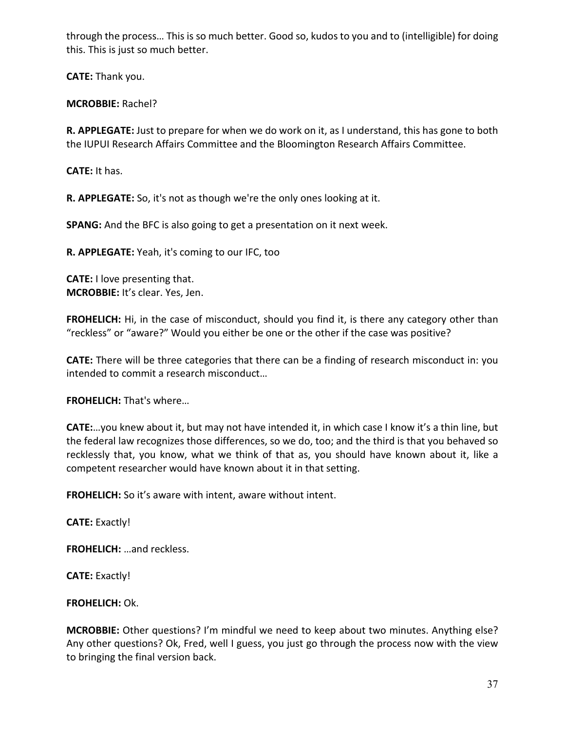through the process… This is so much better. Good so, kudos to you and to (intelligible) for doing this. This is just so much better.

**CATE:** Thank you.

# **MCROBBIE:** Rachel?

**R. APPLEGATE:** Just to prepare for when we do work on it, as I understand, this has gone to both the IUPUI Research Affairs Committee and the Bloomington Research Affairs Committee.

**CATE:** It has.

**R. APPLEGATE:** So, it's not as though we're the only ones looking at it.

**SPANG:** And the BFC is also going to get a presentation on it next week.

**R. APPLEGATE:** Yeah, it's coming to our IFC, too

**CATE:** I love presenting that. **MCROBBIE:** It's clear. Yes, Jen.

**FROHELICH:** Hi, in the case of misconduct, should you find it, is there any category other than "reckless" or "aware?" Would you either be one or the other if the case was positive?

**CATE:** There will be three categories that there can be a finding of research misconduct in: you intended to commit a research misconduct…

**FROHELICH:** That's where…

**CATE:**…you knew about it, but may not have intended it, in which case I know it's a thin line, but the federal law recognizes those differences, so we do, too; and the third is that you behaved so recklessly that, you know, what we think of that as, you should have known about it, like a competent researcher would have known about it in that setting.

**FROHELICH:** So it's aware with intent, aware without intent.

**CATE:** Exactly!

**FROHELICH:** …and reckless.

**CATE:** Exactly!

**FROHELICH:** Ok.

**MCROBBIE:** Other questions? I'm mindful we need to keep about two minutes. Anything else? Any other questions? Ok, Fred, well I guess, you just go through the process now with the view to bringing the final version back.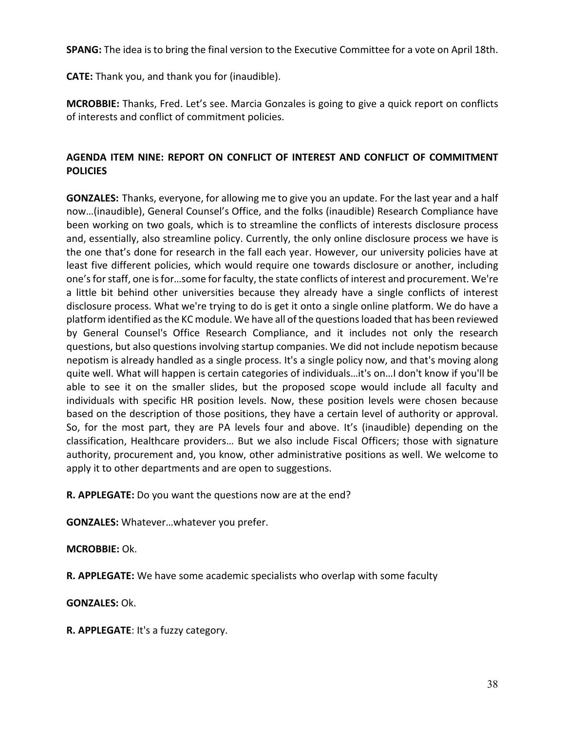**SPANG:** The idea is to bring the final version to the Executive Committee for a vote on April 18th.

**CATE:** Thank you, and thank you for (inaudible).

**MCROBBIE:** Thanks, Fred. Let's see. Marcia Gonzales is going to give a quick report on conflicts of interests and conflict of commitment policies.

## **AGENDA ITEM NINE: REPORT ON CONFLICT OF INTEREST AND CONFLICT OF COMMITMENT POLICIES**

**GONZALES:** Thanks, everyone, for allowing me to give you an update. For the last year and a half now…(inaudible), General Counsel's Office, and the folks (inaudible) Research Compliance have been working on two goals, which is to streamline the conflicts of interests disclosure process and, essentially, also streamline policy. Currently, the only online disclosure process we have is the one that's done for research in the fall each year. However, our university policies have at least five different policies, which would require one towards disclosure or another, including one'sfor staff, one is for…some for faculty, the state conflicts of interest and procurement. We're a little bit behind other universities because they already have a single conflicts of interest disclosure process. What we're trying to do is get it onto a single online platform. We do have a platform identified asthe KC module. We have all of the questions loaded that has been reviewed by General Counsel's Office Research Compliance, and it includes not only the research questions, but also questions involving startup companies. We did not include nepotism because nepotism is already handled as a single process. It's a single policy now, and that's moving along quite well. What will happen is certain categories of individuals…it's on…I don't know if you'll be able to see it on the smaller slides, but the proposed scope would include all faculty and individuals with specific HR position levels. Now, these position levels were chosen because based on the description of those positions, they have a certain level of authority or approval. So, for the most part, they are PA levels four and above. It's (inaudible) depending on the classification, Healthcare providers… But we also include Fiscal Officers; those with signature authority, procurement and, you know, other administrative positions as well. We welcome to apply it to other departments and are open to suggestions.

**R. APPLEGATE:** Do you want the questions now are at the end?

**GONZALES:** Whatever…whatever you prefer.

**MCROBBIE:** Ok.

**R. APPLEGATE:** We have some academic specialists who overlap with some faculty

**GONZALES:** Ok.

**R. APPLEGATE**: It's a fuzzy category.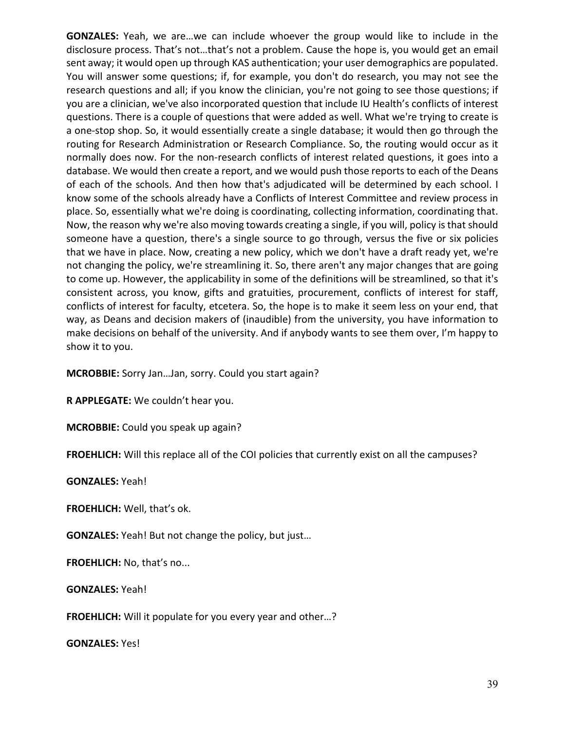**GONZALES:** Yeah, we are…we can include whoever the group would like to include in the disclosure process. That's not…that's not a problem. Cause the hope is, you would get an email sent away; it would open up through KAS authentication; your user demographics are populated. You will answer some questions; if, for example, you don't do research, you may not see the research questions and all; if you know the clinician, you're not going to see those questions; if you are a clinician, we've also incorporated question that include IU Health's conflicts of interest questions. There is a couple of questions that were added as well. What we're trying to create is a one-stop shop. So, it would essentially create a single database; it would then go through the routing for Research Administration or Research Compliance. So, the routing would occur as it normally does now. For the non-research conflicts of interest related questions, it goes into a database. We would then create a report, and we would push those reports to each of the Deans of each of the schools. And then how that's adjudicated will be determined by each school. I know some of the schools already have a Conflicts of Interest Committee and review process in place. So, essentially what we're doing is coordinating, collecting information, coordinating that. Now, the reason why we're also moving towards creating a single, if you will, policy is that should someone have a question, there's a single source to go through, versus the five or six policies that we have in place. Now, creating a new policy, which we don't have a draft ready yet, we're not changing the policy, we're streamlining it. So, there aren't any major changes that are going to come up. However, the applicability in some of the definitions will be streamlined, so that it's consistent across, you know, gifts and gratuities, procurement, conflicts of interest for staff, conflicts of interest for faculty, etcetera. So, the hope is to make it seem less on your end, that way, as Deans and decision makers of (inaudible) from the university, you have information to make decisions on behalf of the university. And if anybody wants to see them over, I'm happy to show it to you.

**MCROBBIE:** Sorry Jan…Jan, sorry. Could you start again?

**R APPLEGATE:** We couldn't hear you.

**MCROBBIE:** Could you speak up again?

**FROEHLICH:** Will this replace all of the COI policies that currently exist on all the campuses?

**GONZALES:** Yeah!

**FROEHLICH:** Well, that's ok.

**GONZALES:** Yeah! But not change the policy, but just…

**FROEHLICH:** No, that's no...

**GONZALES:** Yeah!

**FROEHLICH:** Will it populate for you every year and other…?

**GONZALES:** Yes!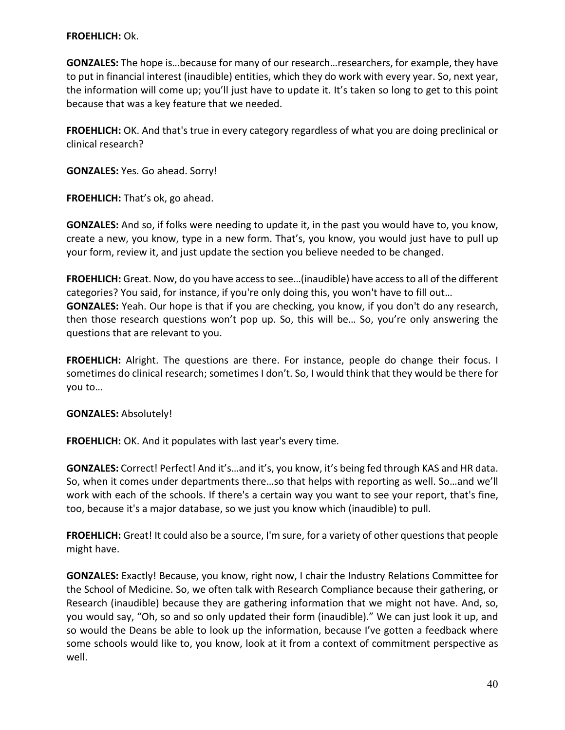### **FROEHLICH:** Ok.

**GONZALES:** The hope is…because for many of our research…researchers, for example, they have to put in financial interest (inaudible) entities, which they do work with every year. So, next year, the information will come up; you'll just have to update it. It's taken so long to get to this point because that was a key feature that we needed.

**FROEHLICH:** OK. And that's true in every category regardless of what you are doing preclinical or clinical research?

**GONZALES:** Yes. Go ahead. Sorry!

**FROEHLICH:** That's ok, go ahead.

**GONZALES:** And so, if folks were needing to update it, in the past you would have to, you know, create a new, you know, type in a new form. That's, you know, you would just have to pull up your form, review it, and just update the section you believe needed to be changed.

**FROEHLICH:** Great. Now, do you have access to see…(inaudible) have access to all of the different categories? You said, for instance, if you're only doing this, you won't have to fill out… **GONZALES:** Yeah. Our hope is that if you are checking, you know, if you don't do any research, then those research questions won't pop up. So, this will be… So, you're only answering the questions that are relevant to you.

**FROEHLICH:** Alright. The questions are there. For instance, people do change their focus. I sometimes do clinical research; sometimes I don't. So, I would think that they would be there for you to…

### **GONZALES:** Absolutely!

**FROEHLICH:** OK. And it populates with last year's every time.

**GONZALES:** Correct! Perfect! And it's…and it's, you know, it's being fed through KAS and HR data. So, when it comes under departments there…so that helps with reporting as well. So…and we'll work with each of the schools. If there's a certain way you want to see your report, that's fine, too, because it's a major database, so we just you know which (inaudible) to pull.

**FROEHLICH:** Great! It could also be a source, I'm sure, for a variety of other questions that people might have.

**GONZALES:** Exactly! Because, you know, right now, I chair the Industry Relations Committee for the School of Medicine. So, we often talk with Research Compliance because their gathering, or Research (inaudible) because they are gathering information that we might not have. And, so, you would say, "Oh, so and so only updated their form (inaudible)." We can just look it up, and so would the Deans be able to look up the information, because I've gotten a feedback where some schools would like to, you know, look at it from a context of commitment perspective as well.